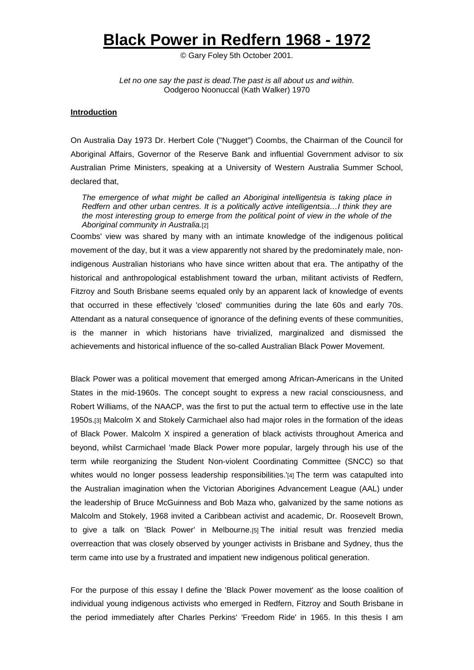# **Black Power in Redfern 1968 - 1972**

© Gary Foley 5th October 2001.

*Let no one say the past is dead.The past is all about us and within.* Oodgeroo Noonuccal (Kath Walker) 1970

# **Introduction**

On Australia Day 1973 Dr. Herbert Cole ("Nugget") Coombs, the Chairman of the Council for Aboriginal Affairs, Governor of the Reserve Bank and influential Government advisor to six Australian Prime Ministers, speaking at a University of Western Australia Summer School, declared that,

*The emergence of what might be called an Aboriginal intelligentsia is taking place in Redfern and other urban centres. It is a politically active intelligentsia…I think they are the most interesting group to emerge from the political point of view in the whole of the Aboriginal community in Australia.*[2]

Coombs' view was shared by many with an intimate knowledge of the indigenous political movement of the day, but it was a view apparently not shared by the predominately male, nonindigenous Australian historians who have since written about that era. The antipathy of the historical and anthropological establishment toward the urban, militant activists of Redfern, Fitzroy and South Brisbane seems equaled only by an apparent lack of knowledge of events that occurred in these effectively 'closed' communities during the late 60s and early 70s. Attendant as a natural consequence of ignorance of the defining events of these communities, is the manner in which historians have trivialized, marginalized and dismissed the achievements and historical influence of the so-called Australian Black Power Movement.

Black Power was a political movement that emerged among African-Americans in the United States in the mid-1960s. The concept sought to express a new racial consciousness, and Robert Williams, of the NAACP, was the first to put the actual term to effective use in the late 1950s.[3] Malcolm X and Stokely Carmichael also had major roles in the formation of the ideas of Black Power. Malcolm X inspired a generation of black activists throughout America and beyond, whilst Carmichael 'made Black Power more popular, largely through his use of the term while reorganizing the Student Non-violent Coordinating Committee (SNCC) so that whites would no longer possess leadership responsibilities.'[4] The term was catapulted into the Australian imagination when the Victorian Aborigines Advancement League (AAL) under the leadership of Bruce McGuinness and Bob Maza who, galvanized by the same notions as Malcolm and Stokely, 1968 invited a Caribbean activist and academic, Dr. Roosevelt Brown, to give a talk on 'Black Power' in Melbourne.[5] The initial result was frenzied media overreaction that was closely observed by younger activists in Brisbane and Sydney, thus the term came into use by a frustrated and impatient new indigenous political generation.

For the purpose of this essay I define the 'Black Power movement' as the loose coalition of individual young indigenous activists who emerged in Redfern, Fitzroy and South Brisbane in the period immediately after Charles Perkins' 'Freedom Ride' in 1965. In this thesis I am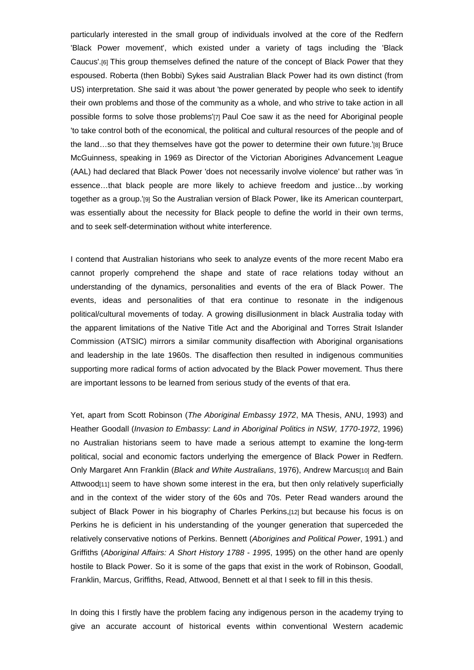particularly interested in the small group of individuals involved at the core of the Redfern 'Black Power movement', which existed under a variety of tags including the 'Black Caucus'.[6] This group themselves defined the nature of the concept of Black Power that they espoused. Roberta (then Bobbi) Sykes said Australian Black Power had its own distinct (from US) interpretation. She said it was about 'the power generated by people who seek to identify their own problems and those of the community as a whole, and who strive to take action in all possible forms to solve those problems'[7] Paul Coe saw it as the need for Aboriginal people 'to take control both of the economical, the political and cultural resources of the people and of the land…so that they themselves have got the power to determine their own future.'[8] Bruce McGuinness, speaking in 1969 as Director of the Victorian Aborigines Advancement League (AAL) had declared that Black Power 'does not necessarily involve violence' but rather was 'in essence…that black people are more likely to achieve freedom and justice…by working together as a group.'[9] So the Australian version of Black Power, like its American counterpart, was essentially about the necessity for Black people to define the world in their own terms, and to seek self-determination without white interference.

I contend that Australian historians who seek to analyze events of the more recent Mabo era cannot properly comprehend the shape and state of race relations today without an understanding of the dynamics, personalities and events of the era of Black Power. The events, ideas and personalities of that era continue to resonate in the indigenous political/cultural movements of today. A growing disillusionment in black Australia today with the apparent limitations of the Native Title Act and the Aboriginal and Torres Strait Islander Commission (ATSIC) mirrors a similar community disaffection with Aboriginal organisations and leadership in the late 1960s. The disaffection then resulted in indigenous communities supporting more radical forms of action advocated by the Black Power movement. Thus there are important lessons to be learned from serious study of the events of that era.

Yet, apart from Scott Robinson (*The Aboriginal Embassy 1972*, MA Thesis, ANU, 1993) and Heather Goodall (*Invasion to Embassy: Land in Aboriginal Politics in NSW, 1770-1972*, 1996) no Australian historians seem to have made a serious attempt to examine the long-term political, social and economic factors underlying the emergence of Black Power in Redfern. Only Margaret Ann Franklin (*Black and White Australians*, 1976), Andrew Marcus[10] and Bain Attwood<sup>[11]</sup> seem to have shown some interest in the era, but then only relatively superficially and in the context of the wider story of the 60s and 70s. Peter Read wanders around the subject of Black Power in his biography of Charles Perkins,[12] but because his focus is on Perkins he is deficient in his understanding of the younger generation that superceded the relatively conservative notions of Perkins. Bennett (*Aborigines and Political Power*, 1991.) and Griffiths (*Aboriginal Affairs: A Short History 1788 - 1995*, 1995) on the other hand are openly hostile to Black Power. So it is some of the gaps that exist in the work of Robinson, Goodall, Franklin, Marcus, Griffiths, Read, Attwood, Bennett et al that I seek to fill in this thesis.

In doing this I firstly have the problem facing any indigenous person in the academy trying to give an accurate account of historical events within conventional Western academic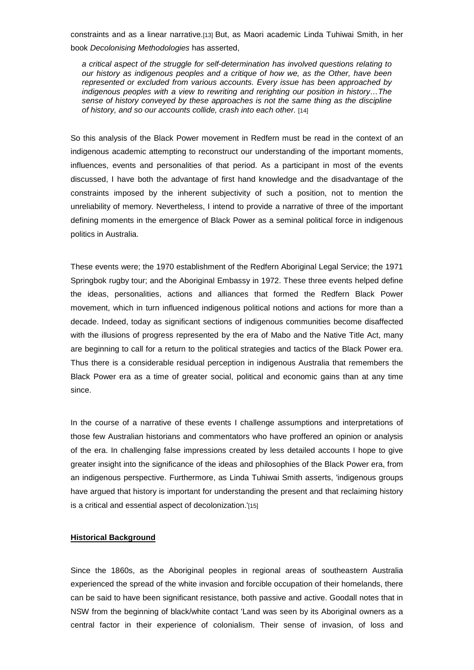constraints and as a linear narrative.[13] But, as Maori academic Linda Tuhiwai Smith, in her book *Decolonising Methodologies* has asserted,

*a critical aspect of the struggle for self-determination has involved questions relating to our history as indigenous peoples and a critique of how we, as the Other, have been represented or excluded from various accounts. Every issue has been approached by indigenous peoples with a view to rewriting and rerighting our position in history…The sense of history conveyed by these approaches is not the same thing as the discipline of history, and so our accounts collide, crash into each other.* [14]

So this analysis of the Black Power movement in Redfern must be read in the context of an indigenous academic attempting to reconstruct our understanding of the important moments, influences, events and personalities of that period. As a participant in most of the events discussed, I have both the advantage of first hand knowledge and the disadvantage of the constraints imposed by the inherent subjectivity of such a position, not to mention the unreliability of memory. Nevertheless, I intend to provide a narrative of three of the important defining moments in the emergence of Black Power as a seminal political force in indigenous politics in Australia.

These events were; the 1970 establishment of the Redfern Aboriginal Legal Service; the 1971 Springbok rugby tour; and the Aboriginal Embassy in 1972. These three events helped define the ideas, personalities, actions and alliances that formed the Redfern Black Power movement, which in turn influenced indigenous political notions and actions for more than a decade. Indeed, today as significant sections of indigenous communities become disaffected with the illusions of progress represented by the era of Mabo and the Native Title Act, many are beginning to call for a return to the political strategies and tactics of the Black Power era. Thus there is a considerable residual perception in indigenous Australia that remembers the Black Power era as a time of greater social, political and economic gains than at any time since.

In the course of a narrative of these events I challenge assumptions and interpretations of those few Australian historians and commentators who have proffered an opinion or analysis of the era. In challenging false impressions created by less detailed accounts I hope to give greater insight into the significance of the ideas and philosophies of the Black Power era, from an indigenous perspective. Furthermore, as Linda Tuhiwai Smith asserts, 'indigenous groups have argued that history is important for understanding the present and that reclaiming history is a critical and essential aspect of decolonization.<sup>'[15]</sup>

# **Historical Background**

Since the 1860s, as the Aboriginal peoples in regional areas of southeastern Australia experienced the spread of the white invasion and forcible occupation of their homelands, there can be said to have been significant resistance, both passive and active. Goodall notes that in NSW from the beginning of black/white contact 'Land was seen by its Aboriginal owners as a central factor in their experience of colonialism. Their sense of invasion, of loss and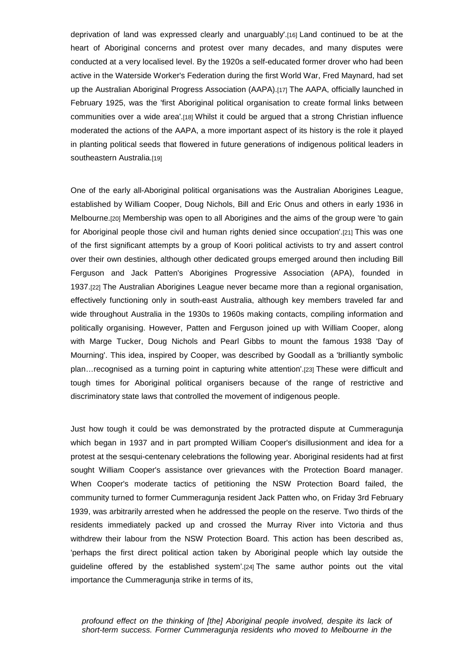deprivation of land was expressed clearly and unarguably'.[16] Land continued to be at the heart of Aboriginal concerns and protest over many decades, and many disputes were conducted at a very localised level. By the 1920s a self-educated former drover who had been active in the Waterside Worker's Federation during the first World War, Fred Maynard, had set up the Australian Aboriginal Progress Association (AAPA).[17] The AAPA, officially launched in February 1925, was the 'first Aboriginal political organisation to create formal links between communities over a wide area'.[18] Whilst it could be argued that a strong Christian influence moderated the actions of the AAPA, a more important aspect of its history is the role it played in planting political seeds that flowered in future generations of indigenous political leaders in southeastern Australia.[19]

One of the early all-Aboriginal political organisations was the Australian Aborigines League, established by William Cooper, Doug Nichols, Bill and Eric Onus and others in early 1936 in Melbourne.[20] Membership was open to all Aborigines and the aims of the group were 'to gain for Aboriginal people those civil and human rights denied since occupation'.[21] This was one of the first significant attempts by a group of Koori political activists to try and assert control over their own destinies, although other dedicated groups emerged around then including Bill Ferguson and Jack Patten's Aborigines Progressive Association (APA), founded in 1937.[22] The Australian Aborigines League never became more than a regional organisation, effectively functioning only in south-east Australia, although key members traveled far and wide throughout Australia in the 1930s to 1960s making contacts, compiling information and politically organising. However, Patten and Ferguson joined up with William Cooper, along with Marge Tucker, Doug Nichols and Pearl Gibbs to mount the famous 1938 'Day of Mourning'. This idea, inspired by Cooper, was described by Goodall as a 'brilliantly symbolic plan…recognised as a turning point in capturing white attention'.[23] These were difficult and tough times for Aboriginal political organisers because of the range of restrictive and discriminatory state laws that controlled the movement of indigenous people.

Just how tough it could be was demonstrated by the protracted dispute at Cummeragunja which began in 1937 and in part prompted William Cooper's disillusionment and idea for a protest at the sesqui-centenary celebrations the following year. Aboriginal residents had at first sought William Cooper's assistance over grievances with the Protection Board manager. When Cooper's moderate tactics of petitioning the NSW Protection Board failed, the community turned to former Cummeragunja resident Jack Patten who, on Friday 3rd February 1939, was arbitrarily arrested when he addressed the people on the reserve. Two thirds of the residents immediately packed up and crossed the Murray River into Victoria and thus withdrew their labour from the NSW Protection Board. This action has been described as, 'perhaps the first direct political action taken by Aboriginal people which lay outside the guideline offered by the established system'.[24] The same author points out the vital importance the Cummeragunja strike in terms of its,

*profound effect on the thinking of [the] Aboriginal people involved, despite its lack of short-term success. Former Cummeragunja residents who moved to Melbourne in the*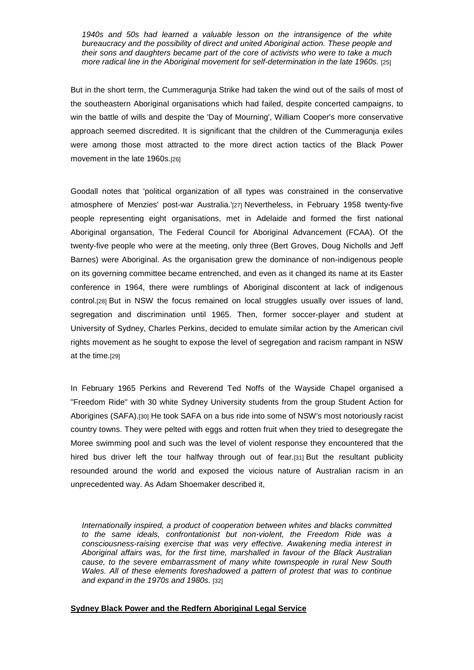*1940s and 50s had learned a valuable lesson on the intransigence of the white bureaucracy and the possibility of direct and united Aboriginal action. These people and their sons and daughters became part of the core of activists who were to take a much more radical line in the Aboriginal movement for self-determination in the late 1960s.* [25]

But in the short term, the Cummeragunja Strike had taken the wind out of the sails of most of the southeastern Aboriginal organisations which had failed, despite concerted campaigns, to win the battle of wills and despite the 'Day of Mourning', William Cooper's more conservative approach seemed discredited. It is significant that the children of the Cummeragunja exiles were among those most attracted to the more direct action tactics of the Black Power movement in the late 1960s.[26]

Goodall notes that 'political organization of all types was constrained in the conservative atmosphere of Menzies' post-war Australia.'[27] Nevertheless, in February 1958 twenty-five people representing eight organisations, met in Adelaide and formed the first national Aboriginal organsation, The Federal Council for Aboriginal Advancement (FCAA). Of the twenty-five people who were at the meeting, only three (Bert Groves, Doug Nicholls and Jeff Barnes) were Aboriginal. As the organisation grew the dominance of non-indigenous people on its governing committee became entrenched, and even as it changed its name at its Easter conference in 1964, there were rumblings of Aboriginal discontent at lack of indigenous control.[28] But in NSW the focus remained on local struggles usually over issues of land, segregation and discrimination until 1965. Then, former soccer-player and student at University of Sydney, Charles Perkins, decided to emulate similar action by the American civil rights movement as he sought to expose the level of segregation and racism rampant in NSW at the time.[29]

In February 1965 Perkins and Reverend Ted Noffs of the Wayside Chapel organised a "Freedom Ride" with 30 white Sydney University students from the group Student Action for Aborigines (SAFA).[30] He took SAFA on a bus ride into some of NSW's most notoriously racist country towns. They were pelted with eggs and rotten fruit when they tried to desegregate the Moree swimming pool and such was the level of violent response they encountered that the hired bus driver left the tour halfway through out of fear.[31] But the resultant publicity resounded around the world and exposed the vicious nature of Australian racism in an unprecedented way. As Adam Shoemaker described it,

*Internationally inspired, a product of cooperation between whites and blacks committed to the same ideals, confrontationist but non-violent, the Freedom Ride was a consciousness-raising exercise that was very effective. Awakening media interest in Aboriginal affairs was, for the first time, marshalled in favour of the Black Australian cause, to the severe embarrassment of many white townspeople in rural New South Wales. All of these elements foreshadowed a pattern of protest that was to continue and expand in the 1970s and 1980s.* [32]

# **Sydney Black Power and the Redfern Aboriginal Legal Service**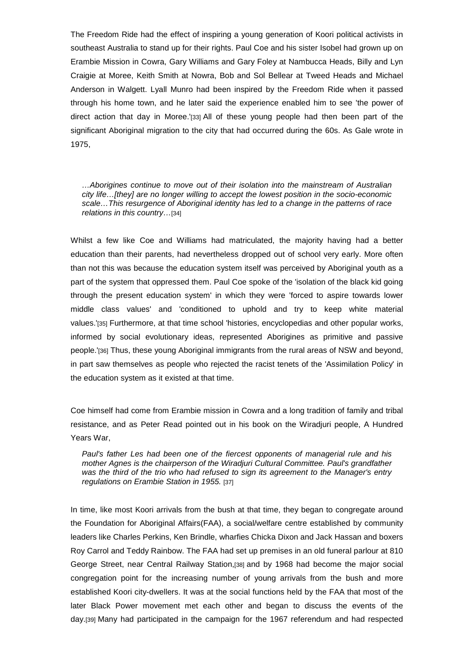The Freedom Ride had the effect of inspiring a young generation of Koori political activists in southeast Australia to stand up for their rights. Paul Coe and his sister Isobel had grown up on Erambie Mission in Cowra, Gary Williams and Gary Foley at Nambucca Heads, Billy and Lyn Craigie at Moree, Keith Smith at Nowra, Bob and Sol Bellear at Tweed Heads and Michael Anderson in Walgett. Lyall Munro had been inspired by the Freedom Ride when it passed through his home town, and he later said the experience enabled him to see 'the power of direct action that day in Moree.'[33] All of these young people had then been part of the significant Aboriginal migration to the city that had occurred during the 60s. As Gale wrote in 1975,

*…Aborigines continue to move out of their isolation into the mainstream of Australian city life…[they] are no longer willing to accept the lowest position in the socio-economic scale…This resurgence of Aboriginal identity has led to a change in the patterns of race relations in this country…*[34]

Whilst a few like Coe and Williams had matriculated, the majority having had a better education than their parents, had nevertheless dropped out of school very early. More often than not this was because the education system itself was perceived by Aboriginal youth as a part of the system that oppressed them. Paul Coe spoke of the 'isolation of the black kid going through the present education system' in which they were 'forced to aspire towards lower middle class values' and 'conditioned to uphold and try to keep white material values.'[35] Furthermore, at that time school 'histories, encyclopedias and other popular works, informed by social evolutionary ideas, represented Aborigines as primitive and passive people.'[36] Thus, these young Aboriginal immigrants from the rural areas of NSW and beyond, in part saw themselves as people who rejected the racist tenets of the 'Assimilation Policy' in the education system as it existed at that time.

Coe himself had come from Erambie mission in Cowra and a long tradition of family and tribal resistance, and as Peter Read pointed out in his book on the Wiradjuri people, A Hundred Years War,

*Paul's father Les had been one of the fiercest opponents of managerial rule and his mother Agnes is the chairperson of the Wiradjuri Cultural Committee. Paul's grandfather was the third of the trio who had refused to sign its agreement to the Manager's entry regulations on Erambie Station in 1955.* [37]

In time, like most Koori arrivals from the bush at that time, they began to congregate around the Foundation for Aboriginal Affairs(FAA), a social/welfare centre established by community leaders like Charles Perkins, Ken Brindle, wharfies Chicka Dixon and Jack Hassan and boxers Roy Carrol and Teddy Rainbow. The FAA had set up premises in an old funeral parlour at 810 George Street, near Central Railway Station,[38] and by 1968 had become the major social congregation point for the increasing number of young arrivals from the bush and more established Koori city-dwellers. It was at the social functions held by the FAA that most of the later Black Power movement met each other and began to discuss the events of the day.[39] Many had participated in the campaign for the 1967 referendum and had respected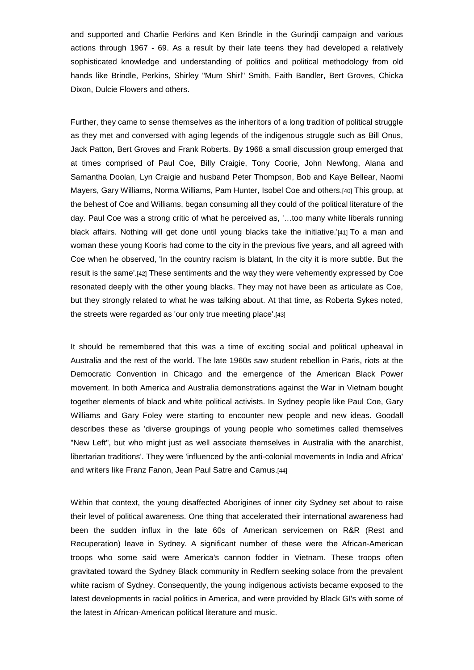and supported and Charlie Perkins and Ken Brindle in the Gurindji campaign and various actions through 1967 - 69. As a result by their late teens they had developed a relatively sophisticated knowledge and understanding of politics and political methodology from old hands like Brindle, Perkins, Shirley "Mum Shirl" Smith, Faith Bandler, Bert Groves, Chicka Dixon, Dulcie Flowers and others.

Further, they came to sense themselves as the inheritors of a long tradition of political struggle as they met and conversed with aging legends of the indigenous struggle such as Bill Onus, Jack Patton, Bert Groves and Frank Roberts. By 1968 a small discussion group emerged that at times comprised of Paul Coe, Billy Craigie, Tony Coorie, John Newfong, Alana and Samantha Doolan, Lyn Craigie and husband Peter Thompson, Bob and Kaye Bellear, Naomi Mayers, Gary Williams, Norma Williams, Pam Hunter, Isobel Coe and others.[40] This group, at the behest of Coe and Williams, began consuming all they could of the political literature of the day. Paul Coe was a strong critic of what he perceived as, '…too many white liberals running black affairs. Nothing will get done until young blacks take the initiative.'[41] To a man and woman these young Kooris had come to the city in the previous five years, and all agreed with Coe when he observed, 'In the country racism is blatant, In the city it is more subtle. But the result is the same'.[42] These sentiments and the way they were vehemently expressed by Coe resonated deeply with the other young blacks. They may not have been as articulate as Coe, but they strongly related to what he was talking about. At that time, as Roberta Sykes noted, the streets were regarded as 'our only true meeting place'.[43]

It should be remembered that this was a time of exciting social and political upheaval in Australia and the rest of the world. The late 1960s saw student rebellion in Paris, riots at the Democratic Convention in Chicago and the emergence of the American Black Power movement. In both America and Australia demonstrations against the War in Vietnam bought together elements of black and white political activists. In Sydney people like Paul Coe, Gary Williams and Gary Foley were starting to encounter new people and new ideas. Goodall describes these as 'diverse groupings of young people who sometimes called themselves "New Left", but who might just as well associate themselves in Australia with the anarchist, libertarian traditions'. They were 'influenced by the anti-colonial movements in India and Africa' and writers like Franz Fanon, Jean Paul Satre and Camus.[44]

Within that context, the young disaffected Aborigines of inner city Sydney set about to raise their level of political awareness. One thing that accelerated their international awareness had been the sudden influx in the late 60s of American servicemen on R&R (Rest and Recuperation) leave in Sydney. A significant number of these were the African-American troops who some said were America's cannon fodder in Vietnam. These troops often gravitated toward the Sydney Black community in Redfern seeking solace from the prevalent white racism of Sydney. Consequently, the young indigenous activists became exposed to the latest developments in racial politics in America, and were provided by Black GI's with some of the latest in African-American political literature and music.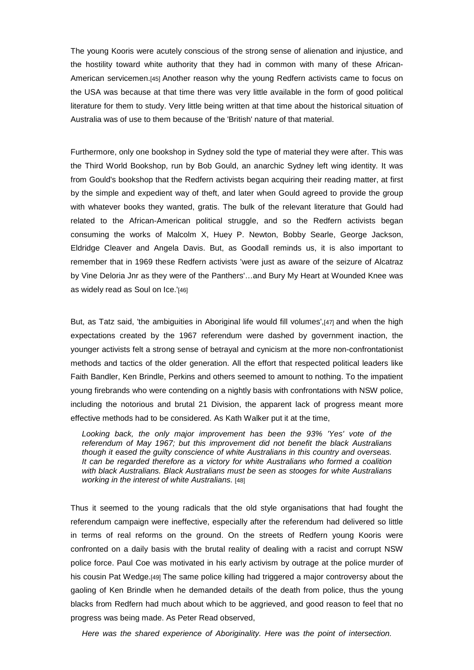The young Kooris were acutely conscious of the strong sense of alienation and injustice, and the hostility toward white authority that they had in common with many of these African-American servicemen.[45] Another reason why the young Redfern activists came to focus on the USA was because at that time there was very little available in the form of good political literature for them to study. Very little being written at that time about the historical situation of Australia was of use to them because of the 'British' nature of that material.

Furthermore, only one bookshop in Sydney sold the type of material they were after. This was the Third World Bookshop, run by Bob Gould, an anarchic Sydney left wing identity. It was from Gould's bookshop that the Redfern activists began acquiring their reading matter, at first by the simple and expedient way of theft, and later when Gould agreed to provide the group with whatever books they wanted, gratis. The bulk of the relevant literature that Gould had related to the African-American political struggle, and so the Redfern activists began consuming the works of Malcolm X, Huey P. Newton, Bobby Searle, George Jackson, Eldridge Cleaver and Angela Davis. But, as Goodall reminds us, it is also important to remember that in 1969 these Redfern activists 'were just as aware of the seizure of Alcatraz by Vine Deloria Jnr as they were of the Panthers'…and Bury My Heart at Wounded Knee was as widely read as Soul on Ice.'[46]

But, as Tatz said, 'the ambiguities in Aboriginal life would fill volumes',[47] and when the high expectations created by the 1967 referendum were dashed by government inaction, the younger activists felt a strong sense of betrayal and cynicism at the more non-confrontationist methods and tactics of the older generation. All the effort that respected political leaders like Faith Bandler, Ken Brindle, Perkins and others seemed to amount to nothing. To the impatient young firebrands who were contending on a nightly basis with confrontations with NSW police, including the notorious and brutal 21 Division, the apparent lack of progress meant more effective methods had to be considered. As Kath Walker put it at the time,

*Looking back, the only major improvement has been the 93% 'Yes' vote of the referendum of May 1967; but this improvement did not benefit the black Australians though it eased the guilty conscience of white Australians in this country and overseas. It can be regarded therefore as a victory for white Australians who formed a coalition with black Australians. Black Australians must be seen as stooges for white Australians working in the interest of white Australians.* [48]

Thus it seemed to the young radicals that the old style organisations that had fought the referendum campaign were ineffective, especially after the referendum had delivered so little in terms of real reforms on the ground. On the streets of Redfern young Kooris were confronted on a daily basis with the brutal reality of dealing with a racist and corrupt NSW police force. Paul Coe was motivated in his early activism by outrage at the police murder of his cousin Pat Wedge.[49] The same police killing had triggered a major controversy about the gaoling of Ken Brindle when he demanded details of the death from police, thus the young blacks from Redfern had much about which to be aggrieved, and good reason to feel that no progress was being made. As Peter Read observed,

*Here was the shared experience of Aboriginality. Here was the point of intersection.*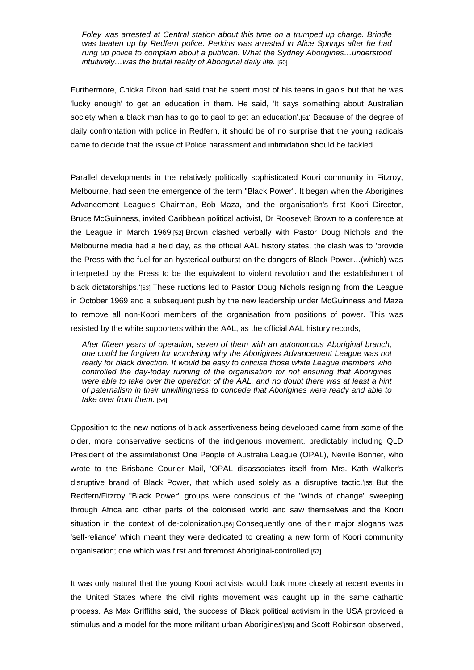*Foley was arrested at Central station about this time on a trumped up charge. Brindle was beaten up by Redfern police. Perkins was arrested in Alice Springs after he had rung up police to complain about a publican. What the Sydney Aborigines…understood intuitively…was the brutal reality of Aboriginal daily life.* [50]

Furthermore, Chicka Dixon had said that he spent most of his teens in gaols but that he was 'lucky enough' to get an education in them. He said, 'It says something about Australian society when a black man has to go to gaol to get an education'.<sup>[51]</sup> Because of the degree of daily confrontation with police in Redfern, it should be of no surprise that the young radicals came to decide that the issue of Police harassment and intimidation should be tackled.

Parallel developments in the relatively politically sophisticated Koori community in Fitzroy, Melbourne, had seen the emergence of the term "Black Power". It began when the Aborigines Advancement League's Chairman, Bob Maza, and the organisation's first Koori Director, Bruce McGuinness, invited Caribbean political activist, Dr Roosevelt Brown to a conference at the League in March 1969.[52] Brown clashed verbally with Pastor Doug Nichols and the Melbourne media had a field day, as the official AAL history states, the clash was to 'provide the Press with the fuel for an hysterical outburst on the dangers of Black Power…(which) was interpreted by the Press to be the equivalent to violent revolution and the establishment of black dictatorships.'[53] These ructions led to Pastor Doug Nichols resigning from the League in October 1969 and a subsequent push by the new leadership under McGuinness and Maza to remove all non-Koori members of the organisation from positions of power. This was resisted by the white supporters within the AAL, as the official AAL history records,

*After fifteen years of operation, seven of them with an autonomous Aboriginal branch, one could be forgiven for wondering why the Aborigines Advancement League was not ready for black direction. It would be easy to criticise those white League members who controlled the day-today running of the organisation for not ensuring that Aborigines were able to take over the operation of the AAL, and no doubt there was at least a hint of paternalism in their unwillingness to concede that Aborigines were ready and able to take over from them.* [54]

Opposition to the new notions of black assertiveness being developed came from some of the older, more conservative sections of the indigenous movement, predictably including QLD President of the assimilationist One People of Australia League (OPAL), Neville Bonner, who wrote to the Brisbane Courier Mail, 'OPAL disassociates itself from Mrs. Kath Walker's disruptive brand of Black Power, that which used solely as a disruptive tactic.'[55] But the Redfern/Fitzroy "Black Power" groups were conscious of the "winds of change" sweeping through Africa and other parts of the colonised world and saw themselves and the Koori situation in the context of de-colonization.[56] Consequently one of their major slogans was 'self-reliance' which meant they were dedicated to creating a new form of Koori community organisation; one which was first and foremost Aboriginal-controlled.[57]

It was only natural that the young Koori activists would look more closely at recent events in the United States where the civil rights movement was caught up in the same cathartic process. As Max Griffiths said, 'the success of Black political activism in the USA provided a stimulus and a model for the more militant urban Aborigines'[58] and Scott Robinson observed,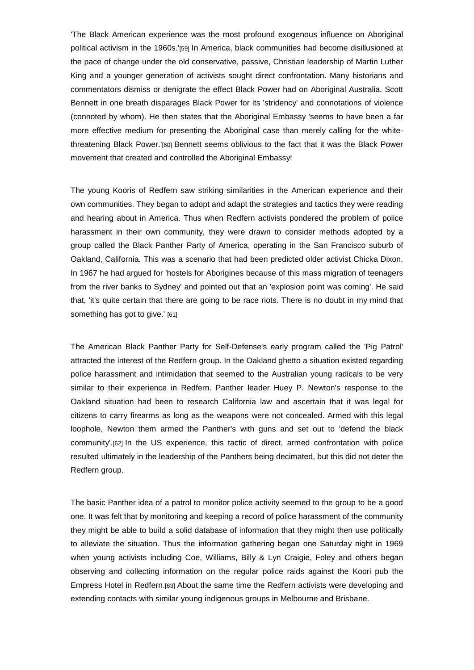'The Black American experience was the most profound exogenous influence on Aboriginal political activism in the 1960s.'[59] In America, black communities had become disillusioned at the pace of change under the old conservative, passive, Christian leadership of Martin Luther King and a younger generation of activists sought direct confrontation. Many historians and commentators dismiss or denigrate the effect Black Power had on Aboriginal Australia. Scott Bennett in one breath disparages Black Power for its 'stridency' and connotations of violence (connoted by whom). He then states that the Aboriginal Embassy 'seems to have been a far more effective medium for presenting the Aboriginal case than merely calling for the whitethreatening Black Power.'[60] Bennett seems oblivious to the fact that it was the Black Power movement that created and controlled the Aboriginal Embassy!

The young Kooris of Redfern saw striking similarities in the American experience and their own communities. They began to adopt and adapt the strategies and tactics they were reading and hearing about in America. Thus when Redfern activists pondered the problem of police harassment in their own community, they were drawn to consider methods adopted by a group called the Black Panther Party of America, operating in the San Francisco suburb of Oakland, California. This was a scenario that had been predicted older activist Chicka Dixon. In 1967 he had argued for 'hostels for Aborigines because of this mass migration of teenagers from the river banks to Sydney' and pointed out that an 'explosion point was coming'. He said that, 'it's quite certain that there are going to be race riots. There is no doubt in my mind that something has got to give.' [61]

The American Black Panther Party for Self-Defense's early program called the 'Pig Patrol' attracted the interest of the Redfern group. In the Oakland ghetto a situation existed regarding police harassment and intimidation that seemed to the Australian young radicals to be very similar to their experience in Redfern. Panther leader Huey P. Newton's response to the Oakland situation had been to research California law and ascertain that it was legal for citizens to carry firearms as long as the weapons were not concealed. Armed with this legal loophole, Newton them armed the Panther's with guns and set out to 'defend the black community'.[62] In the US experience, this tactic of direct, armed confrontation with police resulted ultimately in the leadership of the Panthers being decimated, but this did not deter the Redfern group.

The basic Panther idea of a patrol to monitor police activity seemed to the group to be a good one. It was felt that by monitoring and keeping a record of police harassment of the community they might be able to build a solid database of information that they might then use politically to alleviate the situation. Thus the information gathering began one Saturday night in 1969 when young activists including Coe, Williams, Billy & Lyn Craigie, Foley and others began observing and collecting information on the regular police raids against the Koori pub the Empress Hotel in Redfern.[63] About the same time the Redfern activists were developing and extending contacts with similar young indigenous groups in Melbourne and Brisbane.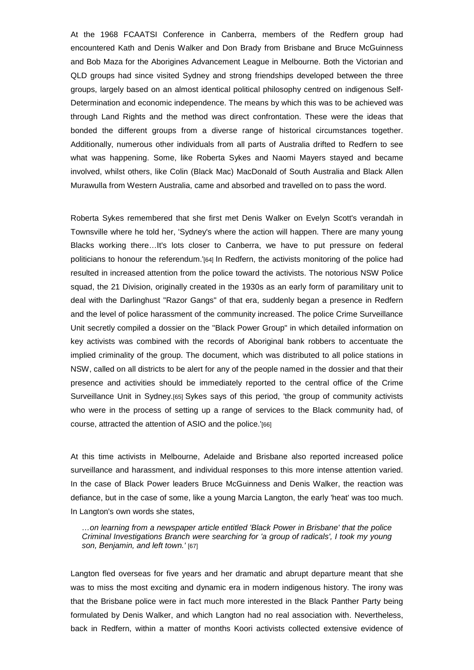At the 1968 FCAATSI Conference in Canberra, members of the Redfern group had encountered Kath and Denis Walker and Don Brady from Brisbane and Bruce McGuinness and Bob Maza for the Aborigines Advancement League in Melbourne. Both the Victorian and QLD groups had since visited Sydney and strong friendships developed between the three groups, largely based on an almost identical political philosophy centred on indigenous Self-Determination and economic independence. The means by which this was to be achieved was through Land Rights and the method was direct confrontation. These were the ideas that bonded the different groups from a diverse range of historical circumstances together. Additionally, numerous other individuals from all parts of Australia drifted to Redfern to see what was happening. Some, like Roberta Sykes and Naomi Mayers stayed and became involved, whilst others, like Colin (Black Mac) MacDonald of South Australia and Black Allen Murawulla from Western Australia, came and absorbed and travelled on to pass the word.

Roberta Sykes remembered that she first met Denis Walker on Evelyn Scott's verandah in Townsville where he told her, 'Sydney's where the action will happen. There are many young Blacks working there…It's lots closer to Canberra, we have to put pressure on federal politicians to honour the referendum.'[64] In Redfern, the activists monitoring of the police had resulted in increased attention from the police toward the activists. The notorious NSW Police squad, the 21 Division, originally created in the 1930s as an early form of paramilitary unit to deal with the Darlinghust "Razor Gangs" of that era, suddenly began a presence in Redfern and the level of police harassment of the community increased. The police Crime Surveillance Unit secretly compiled a dossier on the "Black Power Group" in which detailed information on key activists was combined with the records of Aboriginal bank robbers to accentuate the implied criminality of the group. The document, which was distributed to all police stations in NSW, called on all districts to be alert for any of the people named in the dossier and that their presence and activities should be immediately reported to the central office of the Crime Surveillance Unit in Sydney.[65] Sykes says of this period, 'the group of community activists who were in the process of setting up a range of services to the Black community had, of course, attracted the attention of ASIO and the police.'[66]

At this time activists in Melbourne, Adelaide and Brisbane also reported increased police surveillance and harassment, and individual responses to this more intense attention varied. In the case of Black Power leaders Bruce McGuinness and Denis Walker, the reaction was defiance, but in the case of some, like a young Marcia Langton, the early 'heat' was too much. In Langton's own words she states,

*…on learning from a newspaper article entitled 'Black Power in Brisbane' that the police Criminal Investigations Branch were searching for 'a group of radicals', I took my young son, Benjamin, and left town.'* [67]

Langton fled overseas for five years and her dramatic and abrupt departure meant that she was to miss the most exciting and dynamic era in modern indigenous history. The irony was that the Brisbane police were in fact much more interested in the Black Panther Party being formulated by Denis Walker, and which Langton had no real association with. Nevertheless, back in Redfern, within a matter of months Koori activists collected extensive evidence of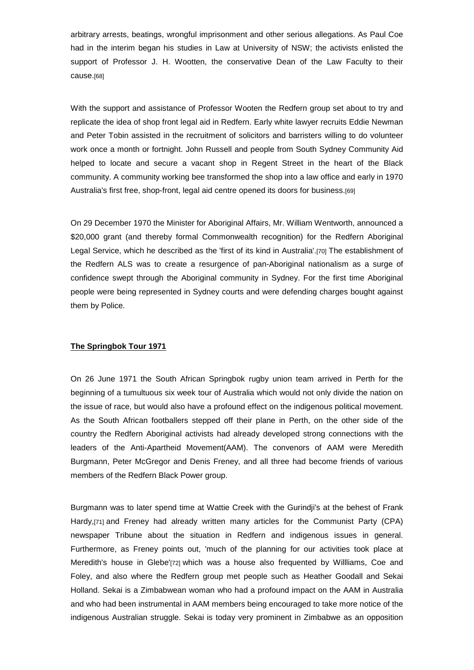arbitrary arrests, beatings, wrongful imprisonment and other serious allegations. As Paul Coe had in the interim began his studies in Law at University of NSW; the activists enlisted the support of Professor J. H. Wootten, the conservative Dean of the Law Faculty to their cause.[68]

With the support and assistance of Professor Wooten the Redfern group set about to try and replicate the idea of shop front legal aid in Redfern. Early white lawyer recruits Eddie Newman and Peter Tobin assisted in the recruitment of solicitors and barristers willing to do volunteer work once a month or fortnight. John Russell and people from South Sydney Community Aid helped to locate and secure a vacant shop in Regent Street in the heart of the Black community. A community working bee transformed the shop into a law office and early in 1970 Australia's first free, shop-front, legal aid centre opened its doors for business.[69]

On 29 December 1970 the Minister for Aboriginal Affairs, Mr. William Wentworth, announced a \$20,000 grant (and thereby formal Commonwealth recognition) for the Redfern Aboriginal Legal Service, which he described as the 'first of its kind in Australia'.[70] The establishment of the Redfern ALS was to create a resurgence of pan-Aboriginal nationalism as a surge of confidence swept through the Aboriginal community in Sydney. For the first time Aboriginal people were being represented in Sydney courts and were defending charges bought against them by Police.

# **The Springbok Tour 1971**

On 26 June 1971 the South African Springbok rugby union team arrived in Perth for the beginning of a tumultuous six week tour of Australia which would not only divide the nation on the issue of race, but would also have a profound effect on the indigenous political movement. As the South African footballers stepped off their plane in Perth, on the other side of the country the Redfern Aboriginal activists had already developed strong connections with the leaders of the Anti-Apartheid Movement(AAM). The convenors of AAM were Meredith Burgmann, Peter McGregor and Denis Freney, and all three had become friends of various members of the Redfern Black Power group.

Burgmann was to later spend time at Wattie Creek with the Gurindji's at the behest of Frank Hardy,[71] and Freney had already written many articles for the Communist Party (CPA) newspaper Tribune about the situation in Redfern and indigenous issues in general. Furthermore, as Freney points out, 'much of the planning for our activities took place at Meredith's house in Glebe'[72] which was a house also frequented by Willliams, Coe and Foley, and also where the Redfern group met people such as Heather Goodall and Sekai Holland. Sekai is a Zimbabwean woman who had a profound impact on the AAM in Australia and who had been instrumental in AAM members being encouraged to take more notice of the indigenous Australian struggle. Sekai is today very prominent in Zimbabwe as an opposition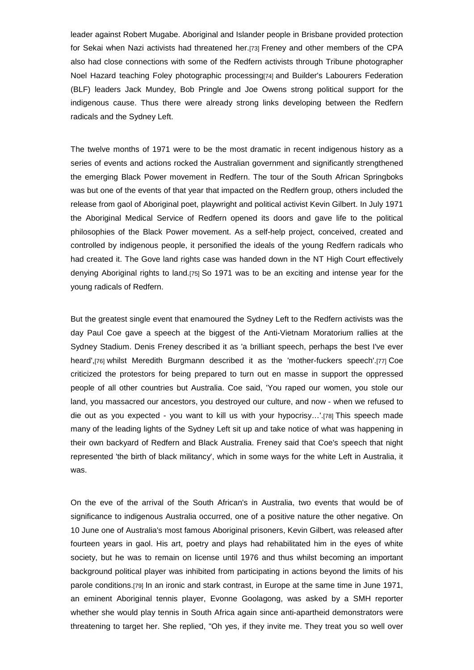leader against Robert Mugabe. Aboriginal and Islander people in Brisbane provided protection for Sekai when Nazi activists had threatened her.[73] Freney and other members of the CPA also had close connections with some of the Redfern activists through Tribune photographer Noel Hazard teaching Foley photographic processing[74] and Builder's Labourers Federation (BLF) leaders Jack Mundey, Bob Pringle and Joe Owens strong political support for the indigenous cause. Thus there were already strong links developing between the Redfern radicals and the Sydney Left.

The twelve months of 1971 were to be the most dramatic in recent indigenous history as a series of events and actions rocked the Australian government and significantly strengthened the emerging Black Power movement in Redfern. The tour of the South African Springboks was but one of the events of that year that impacted on the Redfern group, others included the release from gaol of Aboriginal poet, playwright and political activist Kevin Gilbert. In July 1971 the Aboriginal Medical Service of Redfern opened its doors and gave life to the political philosophies of the Black Power movement. As a self-help project, conceived, created and controlled by indigenous people, it personified the ideals of the young Redfern radicals who had created it. The Gove land rights case was handed down in the NT High Court effectively denying Aboriginal rights to land.[75] So 1971 was to be an exciting and intense year for the young radicals of Redfern.

But the greatest single event that enamoured the Sydney Left to the Redfern activists was the day Paul Coe gave a speech at the biggest of the Anti-Vietnam Moratorium rallies at the Sydney Stadium. Denis Freney described it as 'a brilliant speech, perhaps the best I've ever heard',[76] whilst Meredith Burgmann described it as the 'mother-fuckers speech'.[77] Coe criticized the protestors for being prepared to turn out en masse in support the oppressed people of all other countries but Australia. Coe said, 'You raped our women, you stole our land, you massacred our ancestors, you destroyed our culture, and now - when we refused to die out as you expected - you want to kill us with your hypocrisy…'.[78] This speech made many of the leading lights of the Sydney Left sit up and take notice of what was happening in their own backyard of Redfern and Black Australia. Freney said that Coe's speech that night represented 'the birth of black militancy', which in some ways for the white Left in Australia, it was.

On the eve of the arrival of the South African's in Australia, two events that would be of significance to indigenous Australia occurred, one of a positive nature the other negative. On 10 June one of Australia's most famous Aboriginal prisoners, Kevin Gilbert, was released after fourteen years in gaol. His art, poetry and plays had rehabilitated him in the eyes of white society, but he was to remain on license until 1976 and thus whilst becoming an important background political player was inhibited from participating in actions beyond the limits of his parole conditions.[79] In an ironic and stark contrast, in Europe at the same time in June 1971, an eminent Aboriginal tennis player, Evonne Goolagong, was asked by a SMH reporter whether she would play tennis in South Africa again since anti-apartheid demonstrators were threatening to target her. She replied, "Oh yes, if they invite me. They treat you so well over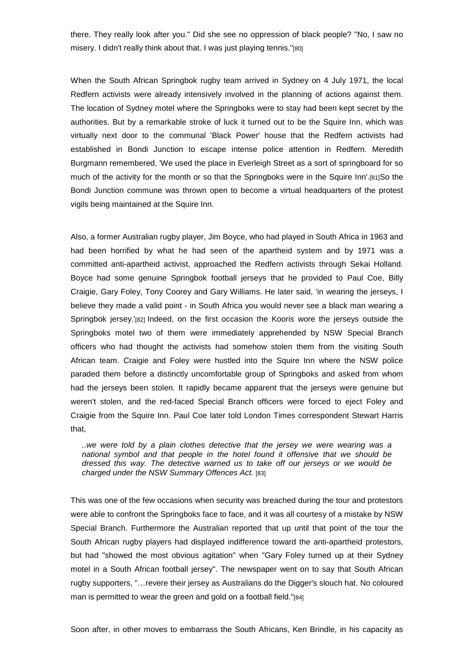there. They really look after you." Did she see no oppression of black people? "No, I saw no misery. I didn't really think about that. I was just playing tennis."[80]

When the South African Springbok rugby team arrived in Sydney on 4 July 1971, the local Redfern activists were already intensively involved in the planning of actions against them. The location of Sydney motel where the Springboks were to stay had been kept secret by the authorities. But by a remarkable stroke of luck it turned out to be the Squire Inn, which was virtually next door to the communal 'Black Power' house that the Redfern activists had established in Bondi Junction to escape intense police attention in Redfern. Meredith Burgmann remembered, 'We used the place in Everleigh Street as a sort of springboard for so much of the activity for the month or so that the Springboks were in the Squire Inn'.[81]So the Bondi Junction commune was thrown open to become a virtual headquarters of the protest vigils being maintained at the Squire Inn.

Also, a former Australian rugby player, Jim Boyce, who had played in South Africa in 1963 and had been horrified by what he had seen of the apartheid system and by 1971 was a committed anti-apartheid activist, approached the Redfern activists through Sekai Holland. Boyce had some genuine Springbok football jerseys that he provided to Paul Coe, Billy Craigie, Gary Foley, Tony Coorey and Gary Williams. He later said, 'in wearing the jerseys, I believe they made a valid point - in South Africa you would never see a black man wearing a Springbok jersey.'[82] Indeed, on the first occasion the Kooris wore the jerseys outside the Springboks motel two of them were immediately apprehended by NSW Special Branch officers who had thought the activists had somehow stolen them from the visiting South African team. Craigie and Foley were hustled into the Squire Inn where the NSW police paraded them before a distinctly uncomfortable group of Springboks and asked from whom had the jerseys been stolen. It rapidly became apparent that the jerseys were genuine but weren't stolen, and the red-faced Special Branch officers were forced to eject Foley and Craigie from the Squire Inn. Paul Coe later told London Times correspondent Stewart Harris that,

*..we were told by a plain clothes detective that the jersey we were wearing was a national symbol and that people in the hotel found it offensive that we should be dressed this way. The detective warned us to take off our jerseys or we would be charged under the NSW Summary Offences Act.* [83]

This was one of the few occasions when security was breached during the tour and protestors were able to confront the Springboks face to face, and it was all courtesy of a mistake by NSW Special Branch. Furthermore the Australian reported that up until that point of the tour the South African rugby players had displayed indifference toward the anti-apartheid protestors, but had "showed the most obvious agitation" when "Gary Foley turned up at their Sydney motel in a South African football jersey". The newspaper went on to say that South African rugby supporters, "…revere their jersey as Australians do the Digger's slouch hat. No coloured man is permitted to wear the green and gold on a football field."[84]

Soon after, in other moves to embarrass the South Africans, Ken Brindle, in his capacity as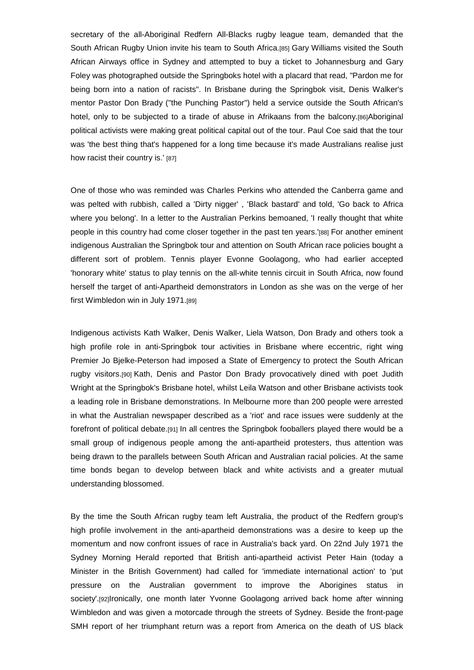secretary of the all-Aboriginal Redfern All-Blacks rugby league team, demanded that the South African Rugby Union invite his team to South Africa.[85] Gary Williams visited the South African Airways office in Sydney and attempted to buy a ticket to Johannesburg and Gary Foley was photographed outside the Springboks hotel with a placard that read, "Pardon me for being born into a nation of racists". In Brisbane during the Springbok visit, Denis Walker's mentor Pastor Don Brady ("the Punching Pastor") held a service outside the South African's hotel, only to be subjected to a tirade of abuse in Afrikaans from the balcony.[86]Aboriginal political activists were making great political capital out of the tour. Paul Coe said that the tour was 'the best thing that's happened for a long time because it's made Australians realise just how racist their country is.' [87]

One of those who was reminded was Charles Perkins who attended the Canberra game and was pelted with rubbish, called a 'Dirty nigger' , 'Black bastard' and told, 'Go back to Africa where you belong'. In a letter to the Australian Perkins bemoaned, 'I really thought that white people in this country had come closer together in the past ten years.'[88] For another eminent indigenous Australian the Springbok tour and attention on South African race policies bought a different sort of problem. Tennis player Evonne Goolagong, who had earlier accepted 'honorary white' status to play tennis on the all-white tennis circuit in South Africa, now found herself the target of anti-Apartheid demonstrators in London as she was on the verge of her first Wimbledon win in July 1971.[89]

Indigenous activists Kath Walker, Denis Walker, Liela Watson, Don Brady and others took a high profile role in anti-Springbok tour activities in Brisbane where eccentric, right wing Premier Jo Bjelke-Peterson had imposed a State of Emergency to protect the South African rugby visitors.[90] Kath, Denis and Pastor Don Brady provocatively dined with poet Judith Wright at the Springbok's Brisbane hotel, whilst Leila Watson and other Brisbane activists took a leading role in Brisbane demonstrations. In Melbourne more than 200 people were arrested in what the Australian newspaper described as a 'riot' and race issues were suddenly at the forefront of political debate.[91] In all centres the Springbok fooballers played there would be a small group of indigenous people among the anti-apartheid protesters, thus attention was being drawn to the parallels between South African and Australian racial policies. At the same time bonds began to develop between black and white activists and a greater mutual understanding blossomed.

By the time the South African rugby team left Australia, the product of the Redfern group's high profile involvement in the anti-apartheid demonstrations was a desire to keep up the momentum and now confront issues of race in Australia's back yard. On 22nd July 1971 the Sydney Morning Herald reported that British anti-apartheid activist Peter Hain (today a Minister in the British Government) had called for 'immediate international action' to 'put pressure on the Australian government to improve the Aborigines status in society'.[92]Ironically, one month later Yvonne Goolagong arrived back home after winning Wimbledon and was given a motorcade through the streets of Sydney. Beside the front-page SMH report of her triumphant return was a report from America on the death of US black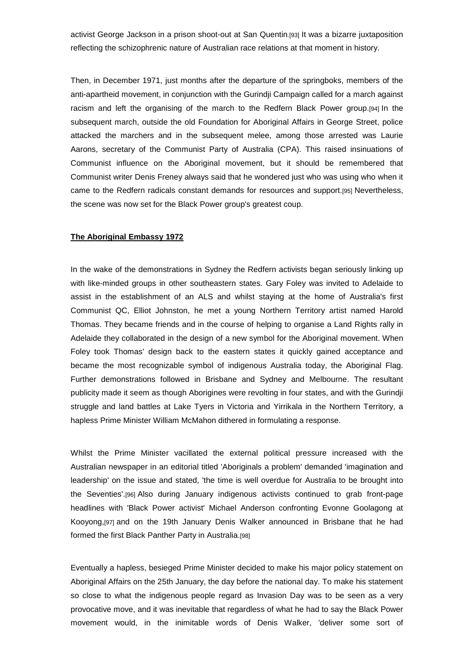activist George Jackson in a prison shoot-out at San Quentin.[93] It was a bizarre juxtaposition reflecting the schizophrenic nature of Australian race relations at that moment in history.

Then, in December 1971, just months after the departure of the springboks, members of the anti-apartheid movement, in conjunction with the Gurindji Campaign called for a march against racism and left the organising of the march to the Redfern Black Power group.[94] In the subsequent march, outside the old Foundation for Aboriginal Affairs in George Street, police attacked the marchers and in the subsequent melee, among those arrested was Laurie Aarons, secretary of the Communist Party of Australia (CPA). This raised insinuations of Communist influence on the Aboriginal movement, but it should be remembered that Communist writer Denis Freney always said that he wondered just who was using who when it came to the Redfern radicals constant demands for resources and support.[95] Nevertheless, the scene was now set for the Black Power group's greatest coup.

# **The Aboriginal Embassy 1972**

In the wake of the demonstrations in Sydney the Redfern activists began seriously linking up with like-minded groups in other southeastern states. Gary Foley was invited to Adelaide to assist in the establishment of an ALS and whilst staying at the home of Australia's first Communist QC, Elliot Johnston, he met a young Northern Territory artist named Harold Thomas. They became friends and in the course of helping to organise a Land Rights rally in Adelaide they collaborated in the design of a new symbol for the Aboriginal movement. When Foley took Thomas' design back to the eastern states it quickly gained acceptance and became the most recognizable symbol of indigenous Australia today, the Aboriginal Flag. Further demonstrations followed in Brisbane and Sydney and Melbourne. The resultant publicity made it seem as though Aborigines were revolting in four states, and with the Gurindji struggle and land battles at Lake Tyers in Victoria and Yirrikala in the Northern Territory, a hapless Prime Minister William McMahon dithered in formulating a response.

Whilst the Prime Minister vacillated the external political pressure increased with the Australian newspaper in an editorial titled 'Aboriginals a problem' demanded 'imagination and leadership' on the issue and stated, 'the time is well overdue for Australia to be brought into the Seventies'.[96] Also during January indigenous activists continued to grab front-page headlines with 'Black Power activist' Michael Anderson confronting Evonne Goolagong at Kooyong,[97] and on the 19th January Denis Walker announced in Brisbane that he had formed the first Black Panther Party in Australia.[98]

Eventually a hapless, besieged Prime Minister decided to make his major policy statement on Aboriginal Affairs on the 25th January, the day before the national day. To make his statement so close to what the indigenous people regard as Invasion Day was to be seen as a very provocative move, and it was inevitable that regardless of what he had to say the Black Power movement would, in the inimitable words of Denis Walker, 'deliver some sort of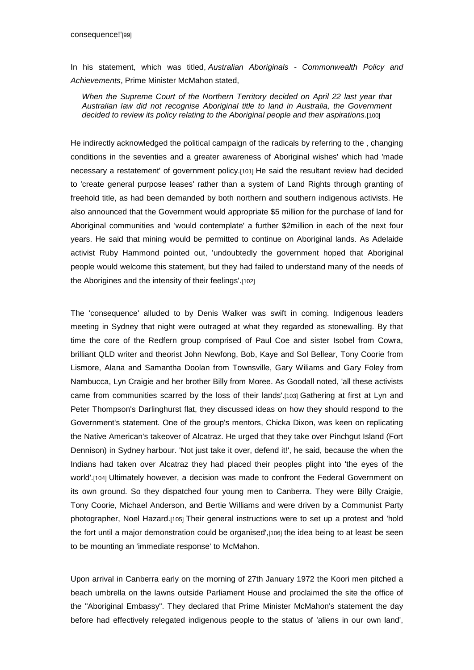In his statement, which was titled, *Australian Aboriginals - Commonwealth Policy and Achievements*, Prime Minister McMahon stated,

*When the Supreme Court of the Northern Territory decided on April 22 last year that Australian law did not recognise Aboriginal title to land in Australia, the Government decided to review its policy relating to the Aboriginal people and their aspirations.*[100]

He indirectly acknowledged the political campaign of the radicals by referring to the , changing conditions in the seventies and a greater awareness of Aboriginal wishes' which had 'made necessary a restatement' of government policy.[101] He said the resultant review had decided to 'create general purpose leases' rather than a system of Land Rights through granting of freehold title, as had been demanded by both northern and southern indigenous activists. He also announced that the Government would appropriate \$5 million for the purchase of land for Aboriginal communities and 'would contemplate' a further \$2million in each of the next four years. He said that mining would be permitted to continue on Aboriginal lands. As Adelaide activist Ruby Hammond pointed out, 'undoubtedly the government hoped that Aboriginal people would welcome this statement, but they had failed to understand many of the needs of the Aborigines and the intensity of their feelings'.[102]

The 'consequence' alluded to by Denis Walker was swift in coming. Indigenous leaders meeting in Sydney that night were outraged at what they regarded as stonewalling. By that time the core of the Redfern group comprised of Paul Coe and sister Isobel from Cowra, brilliant QLD writer and theorist John Newfong, Bob, Kaye and Sol Bellear, Tony Coorie from Lismore, Alana and Samantha Doolan from Townsville, Gary Wiliams and Gary Foley from Nambucca, Lyn Craigie and her brother Billy from Moree. As Goodall noted, 'all these activists came from communities scarred by the loss of their lands'.[103] Gathering at first at Lyn and Peter Thompson's Darlinghurst flat, they discussed ideas on how they should respond to the Government's statement. One of the group's mentors, Chicka Dixon, was keen on replicating the Native American's takeover of Alcatraz. He urged that they take over Pinchgut Island (Fort Dennison) in Sydney harbour. 'Not just take it over, defend it!', he said, because the when the Indians had taken over Alcatraz they had placed their peoples plight into 'the eyes of the world'.<sup>[104]</sup> Ultimately however, a decision was made to confront the Federal Government on its own ground. So they dispatched four young men to Canberra. They were Billy Craigie, Tony Coorie, Michael Anderson, and Bertie Williams and were driven by a Communist Party photographer, Noel Hazard.[105] Their general instructions were to set up a protest and 'hold the fort until a major demonstration could be organised', [106] the idea being to at least be seen to be mounting an 'immediate response' to McMahon.

Upon arrival in Canberra early on the morning of 27th January 1972 the Koori men pitched a beach umbrella on the lawns outside Parliament House and proclaimed the site the office of the "Aboriginal Embassy". They declared that Prime Minister McMahon's statement the day before had effectively relegated indigenous people to the status of 'aliens in our own land',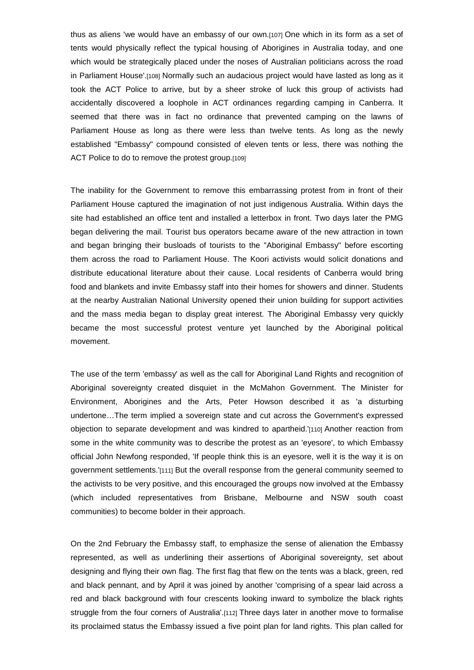thus as aliens 'we would have an embassy of our own.[107] One which in its form as a set of tents would physically reflect the typical housing of Aborigines in Australia today, and one which would be strategically placed under the noses of Australian politicians across the road in Parliament House'.[108] Normally such an audacious project would have lasted as long as it took the ACT Police to arrive, but by a sheer stroke of luck this group of activists had accidentally discovered a loophole in ACT ordinances regarding camping in Canberra. It seemed that there was in fact no ordinance that prevented camping on the lawns of Parliament House as long as there were less than twelve tents. As long as the newly established "Embassy" compound consisted of eleven tents or less, there was nothing the ACT Police to do to remove the protest group.[109]

The inability for the Government to remove this embarrassing protest from in front of their Parliament House captured the imagination of not just indigenous Australia. Within days the site had established an office tent and installed a letterbox in front. Two days later the PMG began delivering the mail. Tourist bus operators became aware of the new attraction in town and began bringing their busloads of tourists to the "Aboriginal Embassy" before escorting them across the road to Parliament House. The Koori activists would solicit donations and distribute educational literature about their cause. Local residents of Canberra would bring food and blankets and invite Embassy staff into their homes for showers and dinner. Students at the nearby Australian National University opened their union building for support activities and the mass media began to display great interest. The Aboriginal Embassy very quickly became the most successful protest venture yet launched by the Aboriginal political movement.

The use of the term 'embassy' as well as the call for Aboriginal Land Rights and recognition of Aboriginal sovereignty created disquiet in the McMahon Government. The Minister for Environment, Aborigines and the Arts, Peter Howson described it as 'a disturbing undertone…The term implied a sovereign state and cut across the Government's expressed objection to separate development and was kindred to apartheid.'[110] Another reaction from some in the white community was to describe the protest as an 'eyesore', to which Embassy official John Newfong responded, 'If people think this is an eyesore, well it is the way it is on government settlements.'[111] But the overall response from the general community seemed to the activists to be very positive, and this encouraged the groups now involved at the Embassy (which included representatives from Brisbane, Melbourne and NSW south coast communities) to become bolder in their approach.

On the 2nd February the Embassy staff, to emphasize the sense of alienation the Embassy represented, as well as underlining their assertions of Aboriginal sovereignty, set about designing and flying their own flag. The first flag that flew on the tents was a black, green, red and black pennant, and by April it was joined by another 'comprising of a spear laid across a red and black background with four crescents looking inward to symbolize the black rights struggle from the four corners of Australia'.[112] Three days later in another move to formalise its proclaimed status the Embassy issued a five point plan for land rights. This plan called for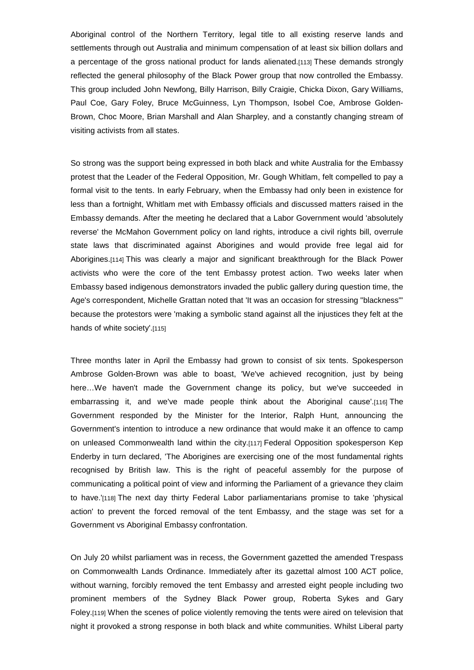Aboriginal control of the Northern Territory, legal title to all existing reserve lands and settlements through out Australia and minimum compensation of at least six billion dollars and a percentage of the gross national product for lands alienated.[113] These demands strongly reflected the general philosophy of the Black Power group that now controlled the Embassy. This group included John Newfong, Billy Harrison, Billy Craigie, Chicka Dixon, Gary Williams, Paul Coe, Gary Foley, Bruce McGuinness, Lyn Thompson, Isobel Coe, Ambrose Golden-Brown, Choc Moore, Brian Marshall and Alan Sharpley, and a constantly changing stream of visiting activists from all states.

So strong was the support being expressed in both black and white Australia for the Embassy protest that the Leader of the Federal Opposition, Mr. Gough Whitlam, felt compelled to pay a formal visit to the tents. In early February, when the Embassy had only been in existence for less than a fortnight, Whitlam met with Embassy officials and discussed matters raised in the Embassy demands. After the meeting he declared that a Labor Government would 'absolutely reverse' the McMahon Government policy on land rights, introduce a civil rights bill, overrule state laws that discriminated against Aborigines and would provide free legal aid for Aborigines.[114] This was clearly a major and significant breakthrough for the Black Power activists who were the core of the tent Embassy protest action. Two weeks later when Embassy based indigenous demonstrators invaded the public gallery during question time, the Age's correspondent, Michelle Grattan noted that 'It was an occasion for stressing "blackness"' because the protestors were 'making a symbolic stand against all the injustices they felt at the hands of white society'.[115]

Three months later in April the Embassy had grown to consist of six tents. Spokesperson Ambrose Golden-Brown was able to boast, 'We've achieved recognition, just by being here…We haven't made the Government change its policy, but we've succeeded in embarrassing it, and we've made people think about the Aboriginal cause'.[116] The Government responded by the Minister for the Interior, Ralph Hunt, announcing the Government's intention to introduce a new ordinance that would make it an offence to camp on unleased Commonwealth land within the city.[117] Federal Opposition spokesperson Kep Enderby in turn declared, 'The Aborigines are exercising one of the most fundamental rights recognised by British law. This is the right of peaceful assembly for the purpose of communicating a political point of view and informing the Parliament of a grievance they claim to have.'[118] The next day thirty Federal Labor parliamentarians promise to take 'physical action' to prevent the forced removal of the tent Embassy, and the stage was set for a Government vs Aboriginal Embassy confrontation.

On July 20 whilst parliament was in recess, the Government gazetted the amended Trespass on Commonwealth Lands Ordinance. Immediately after its gazettal almost 100 ACT police, without warning, forcibly removed the tent Embassy and arrested eight people including two prominent members of the Sydney Black Power group, Roberta Sykes and Gary Foley.[119] When the scenes of police violently removing the tents were aired on television that night it provoked a strong response in both black and white communities. Whilst Liberal party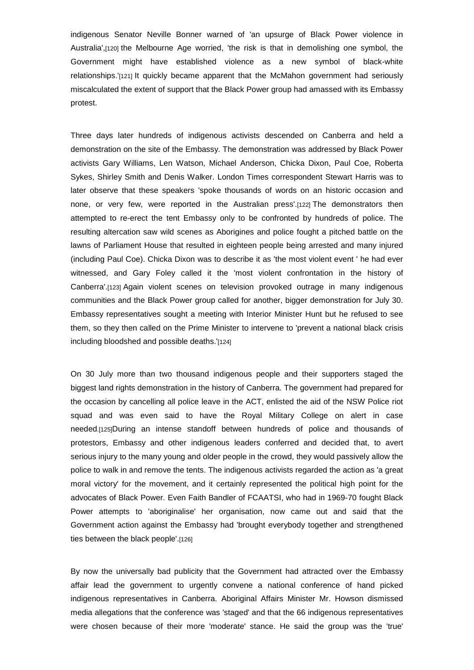indigenous Senator Neville Bonner warned of 'an upsurge of Black Power violence in Australia',[120] the Melbourne Age worried, 'the risk is that in demolishing one symbol, the Government might have established violence as a new symbol of black-white relationships.'[121] It quickly became apparent that the McMahon government had seriously miscalculated the extent of support that the Black Power group had amassed with its Embassy protest.

Three days later hundreds of indigenous activists descended on Canberra and held a demonstration on the site of the Embassy. The demonstration was addressed by Black Power activists Gary Williams, Len Watson, Michael Anderson, Chicka Dixon, Paul Coe, Roberta Sykes, Shirley Smith and Denis Walker. London Times correspondent Stewart Harris was to later observe that these speakers 'spoke thousands of words on an historic occasion and none, or very few, were reported in the Australian press'.[122] The demonstrators then attempted to re-erect the tent Embassy only to be confronted by hundreds of police. The resulting altercation saw wild scenes as Aborigines and police fought a pitched battle on the lawns of Parliament House that resulted in eighteen people being arrested and many injured (including Paul Coe). Chicka Dixon was to describe it as 'the most violent event ' he had ever witnessed, and Gary Foley called it the 'most violent confrontation in the history of Canberra'.[123] Again violent scenes on television provoked outrage in many indigenous communities and the Black Power group called for another, bigger demonstration for July 30. Embassy representatives sought a meeting with Interior Minister Hunt but he refused to see them, so they then called on the Prime Minister to intervene to 'prevent a national black crisis including bloodshed and possible deaths.'[124]

On 30 July more than two thousand indigenous people and their supporters staged the biggest land rights demonstration in the history of Canberra. The government had prepared for the occasion by cancelling all police leave in the ACT, enlisted the aid of the NSW Police riot squad and was even said to have the Royal Military College on alert in case needed.[125]During an intense standoff between hundreds of police and thousands of protestors, Embassy and other indigenous leaders conferred and decided that, to avert serious injury to the many young and older people in the crowd, they would passively allow the police to walk in and remove the tents. The indigenous activists regarded the action as 'a great moral victory' for the movement, and it certainly represented the political high point for the advocates of Black Power. Even Faith Bandler of FCAATSI, who had in 1969-70 fought Black Power attempts to 'aboriginalise' her organisation, now came out and said that the Government action against the Embassy had 'brought everybody together and strengthened ties between the black people'.[126]

By now the universally bad publicity that the Government had attracted over the Embassy affair lead the government to urgently convene a national conference of hand picked indigenous representatives in Canberra. Aboriginal Affairs Minister Mr. Howson dismissed media allegations that the conference was 'staged' and that the 66 indigenous representatives were chosen because of their more 'moderate' stance. He said the group was the 'true'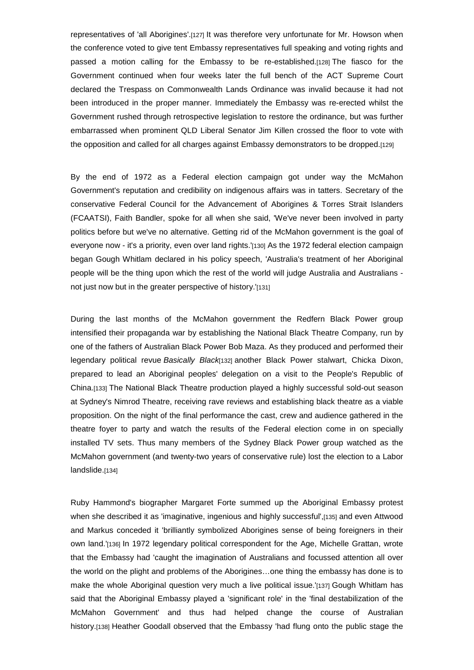representatives of 'all Aborigines'.[127] It was therefore very unfortunate for Mr. Howson when the conference voted to give tent Embassy representatives full speaking and voting rights and passed a motion calling for the Embassy to be re-established.[128] The fiasco for the Government continued when four weeks later the full bench of the ACT Supreme Court declared the Trespass on Commonwealth Lands Ordinance was invalid because it had not been introduced in the proper manner. Immediately the Embassy was re-erected whilst the Government rushed through retrospective legislation to restore the ordinance, but was further embarrassed when prominent QLD Liberal Senator Jim Killen crossed the floor to vote with the opposition and called for all charges against Embassy demonstrators to be dropped.[129]

By the end of 1972 as a Federal election campaign got under way the McMahon Government's reputation and credibility on indigenous affairs was in tatters. Secretary of the conservative Federal Council for the Advancement of Aborigines & Torres Strait Islanders (FCAATSI), Faith Bandler, spoke for all when she said, 'We've never been involved in party politics before but we've no alternative. Getting rid of the McMahon government is the goal of everyone now - it's a priority, even over land rights.'[130] As the 1972 federal election campaign began Gough Whitlam declared in his policy speech, 'Australia's treatment of her Aboriginal people will be the thing upon which the rest of the world will judge Australia and Australians not just now but in the greater perspective of history.'[131]

During the last months of the McMahon government the Redfern Black Power group intensified their propaganda war by establishing the National Black Theatre Company, run by one of the fathers of Australian Black Power Bob Maza. As they produced and performed their legendary political revue *Basically Black*[132] another Black Power stalwart, Chicka Dixon, prepared to lead an Aboriginal peoples' delegation on a visit to the People's Republic of China.[133] The National Black Theatre production played a highly successful sold-out season at Sydney's Nimrod Theatre, receiving rave reviews and establishing black theatre as a viable proposition. On the night of the final performance the cast, crew and audience gathered in the theatre foyer to party and watch the results of the Federal election come in on specially installed TV sets. Thus many members of the Sydney Black Power group watched as the McMahon government (and twenty-two years of conservative rule) lost the election to a Labor landslide.[134]

Ruby Hammond's biographer Margaret Forte summed up the Aboriginal Embassy protest when she described it as 'imaginative, ingenious and highly successful',[135] and even Attwood and Markus conceded it 'brilliantly symbolized Aborigines sense of being foreigners in their own land.'[136] In 1972 legendary political correspondent for the Age, Michelle Grattan, wrote that the Embassy had 'caught the imagination of Australians and focussed attention all over the world on the plight and problems of the Aborigines…one thing the embassy has done is to make the whole Aboriginal question very much a live political issue.'[137] Gough Whitlam has said that the Aboriginal Embassy played a 'significant role' in the 'final destabilization of the McMahon Government' and thus had helped change the course of Australian history.[138] Heather Goodall observed that the Embassy 'had flung onto the public stage the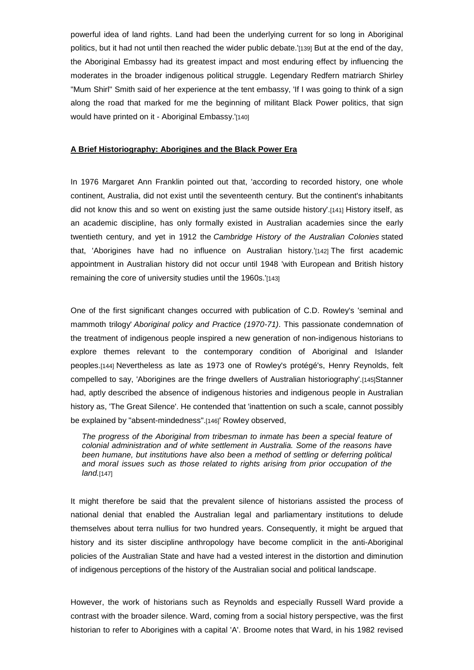powerful idea of land rights. Land had been the underlying current for so long in Aboriginal politics, but it had not until then reached the wider public debate.'[139] But at the end of the day, the Aboriginal Embassy had its greatest impact and most enduring effect by influencing the moderates in the broader indigenous political struggle. Legendary Redfern matriarch Shirley "Mum Shirl" Smith said of her experience at the tent embassy, 'If I was going to think of a sign along the road that marked for me the beginning of militant Black Power politics, that sign would have printed on it - Aboriginal Embassy.'[140]

### **A Brief Historiography: Aborigines and the Black Power Era**

In 1976 Margaret Ann Franklin pointed out that, 'according to recorded history, one whole continent, Australia, did not exist until the seventeenth century. But the continent's inhabitants did not know this and so went on existing just the same outside history'.[141] History itself, as an academic discipline, has only formally existed in Australian academies since the early twentieth century, and yet in 1912 the *Cambridge History of the Australian Colonies* stated that, 'Aborigines have had no influence on Australian history.'[142] The first academic appointment in Australian history did not occur until 1948 'with European and British history remaining the core of university studies until the 1960s.'[143]

One of the first significant changes occurred with publication of C.D. Rowley's 'seminal and mammoth trilogy' *Aboriginal policy and Practice (1970-71)*. This passionate condemnation of the treatment of indigenous people inspired a new generation of non-indigenous historians to explore themes relevant to the contemporary condition of Aboriginal and Islander peoples.[144] Nevertheless as late as 1973 one of Rowley's protégé's, Henry Reynolds, felt compelled to say, 'Aborigines are the fringe dwellers of Australian historiography'.[145]Stanner had, aptly described the absence of indigenous histories and indigenous people in Australian history as, 'The Great Silence'. He contended that 'inattention on such a scale, cannot possibly be explained by "absent-mindedness".[146]' Rowley observed,

*The progress of the Aboriginal from tribesman to inmate has been a special feature of colonial administration and of white settlement in Australia. Some of the reasons have been humane, but institutions have also been a method of settling or deferring political and moral issues such as those related to rights arising from prior occupation of the land.*[147]

It might therefore be said that the prevalent silence of historians assisted the process of national denial that enabled the Australian legal and parliamentary institutions to delude themselves about terra nullius for two hundred years. Consequently, it might be argued that history and its sister discipline anthropology have become complicit in the anti-Aboriginal policies of the Australian State and have had a vested interest in the distortion and diminution of indigenous perceptions of the history of the Australian social and political landscape.

However, the work of historians such as Reynolds and especially Russell Ward provide a contrast with the broader silence. Ward, coming from a social history perspective, was the first historian to refer to Aborigines with a capital 'A'. Broome notes that Ward, in his 1982 revised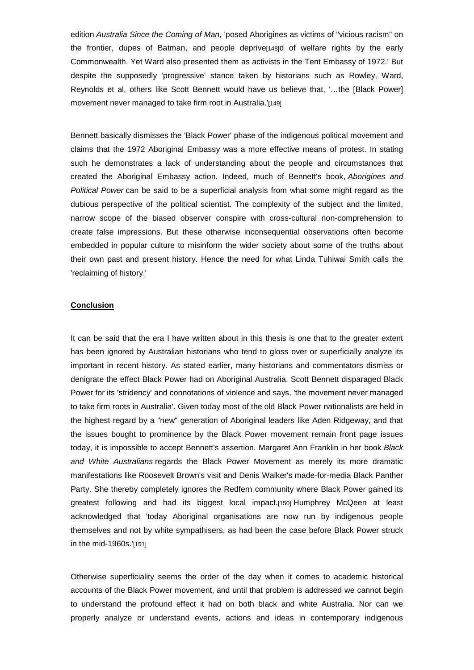edition *Australia Since the Coming of Man*, 'posed Aborigines as victims of "vicious racism" on the frontier, dupes of Batman, and people deprive[148]d of welfare rights by the early Commonwealth. Yet Ward also presented them as activists in the Tent Embassy of 1972.' But despite the supposedly 'progressive' stance taken by historians such as Rowley, Ward, Reynolds et al, others like Scott Bennett would have us believe that, '…the [Black Power] movement never managed to take firm root in Australia. [149]

Bennett basically dismisses the 'Black Power' phase of the indigenous political movement and claims that the 1972 Aboriginal Embassy was a more effective means of protest. In stating such he demonstrates a lack of understanding about the people and circumstances that created the Aboriginal Embassy action. Indeed, much of Bennett's book, *Aborigines and Political Power* can be said to be a superficial analysis from what some might regard as the dubious perspective of the political scientist. The complexity of the subject and the limited, narrow scope of the biased observer conspire with cross-cultural non-comprehension to create false impressions. But these otherwise inconsequential observations often become embedded in popular culture to misinform the wider society about some of the truths about their own past and present history. Hence the need for what Linda Tuhiwai Smith calls the 'reclaiming of history.'

#### **Conclusion**

It can be said that the era I have written about in this thesis is one that to the greater extent has been ignored by Australian historians who tend to gloss over or superficially analyze its important in recent history. As stated earlier, many historians and commentators dismiss or denigrate the effect Black Power had on Aboriginal Australia. Scott Bennett disparaged Black Power for its 'stridency' and connotations of violence and says, 'the movement never managed to take firm roots in Australia'. Given today most of the old Black Power nationalists are held in the highest regard by a "new" generation of Aboriginal leaders like Aden Ridgeway, and that the issues bought to prominence by the Black Power movement remain front page issues today, it is impossible to accept Bennett's assertion. Margaret Ann Franklin in her book *Black and White Australians* regards the Black Power Movement as merely its more dramatic manifestations like Roosevelt Brown's visit and Denis Walker's made-for-media Black Panther Party. She thereby completely ignores the Redfern community where Black Power gained its greatest following and had its biggest local impact.[150] Humphrey McQeen at least acknowledged that 'today Aboriginal organisations are now run by indigenous people themselves and not by white sympathisers, as had been the case before Black Power struck in the mid-1960s.'[151]

Otherwise superficiality seems the order of the day when it comes to academic historical accounts of the Black Power movement, and until that problem is addressed we cannot begin to understand the profound effect it had on both black and white Australia. Nor can we properly analyze or understand events, actions and ideas in contemporary indigenous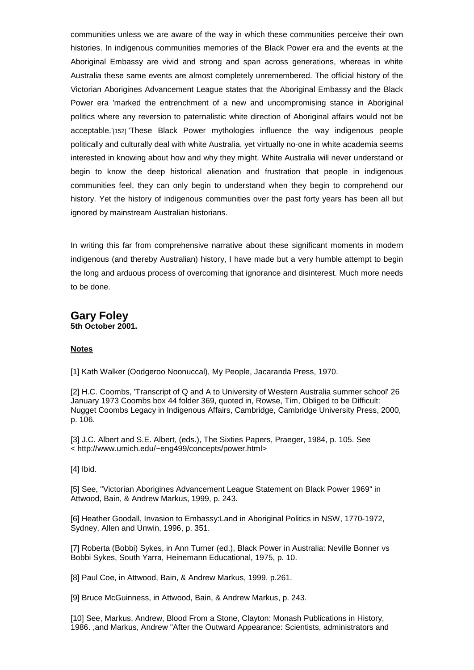communities unless we are aware of the way in which these communities perceive their own histories. In indigenous communities memories of the Black Power era and the events at the Aboriginal Embassy are vivid and strong and span across generations, whereas in white Australia these same events are almost completely unremembered. The official history of the Victorian Aborigines Advancement League states that the Aboriginal Embassy and the Black Power era 'marked the entrenchment of a new and uncompromising stance in Aboriginal politics where any reversion to paternalistic white direction of Aboriginal affairs would not be acceptable.'[152] 'These Black Power mythologies influence the way indigenous people politically and culturally deal with white Australia, yet virtually no-one in white academia seems interested in knowing about how and why they might. White Australia will never understand or begin to know the deep historical alienation and frustration that people in indigenous communities feel, they can only begin to understand when they begin to comprehend our history. Yet the history of indigenous communities over the past forty years has been all but ignored by mainstream Australian historians.

In writing this far from comprehensive narrative about these significant moments in modern indigenous (and thereby Australian) history, I have made but a very humble attempt to begin the long and arduous process of overcoming that ignorance and disinterest. Much more needs to be done.

# **Gary Foley 5th October 2001.**

# **Notes**

[1] Kath Walker (Oodgeroo Noonuccal), My People, Jacaranda Press, 1970.

[2] H.C. Coombs, 'Transcript of Q and A to University of Western Australia summer school' 26 January 1973 Coombs box 44 folder 369, quoted in, Rowse, Tim, Obliged to be Difficult: Nugget Coombs Legacy in Indigenous Affairs, Cambridge, Cambridge University Press, 2000, p. 106.

[3] J.C. Albert and S.E. Albert, (eds.), The Sixties Papers, Praeger, 1984, p. 105. See < http://www.umich.edu/~eng499/concepts/power.html>

[4] Ibid.

[5] See, "Victorian Aborigines Advancement League Statement on Black Power 1969" in Attwood, Bain, & Andrew Markus, 1999, p. 243.

[6] Heather Goodall, Invasion to Embassy:Land in Aboriginal Politics in NSW, 1770-1972, Sydney, Allen and Unwin, 1996, p. 351.

[7] Roberta (Bobbi) Sykes, in Ann Turner (ed.), Black Power in Australia: Neville Bonner vs Bobbi Sykes, South Yarra, Heinemann Educational, 1975, p. 10.

[8] Paul Coe, in Attwood, Bain, & Andrew Markus, 1999, p.261.

[9] Bruce McGuinness, in Attwood, Bain, & Andrew Markus, p. 243.

[10] See, Markus, Andrew, Blood From a Stone, Clayton: Monash Publications in History, 1986. ,and Markus, Andrew "After the Outward Appearance: Scientists, administrators and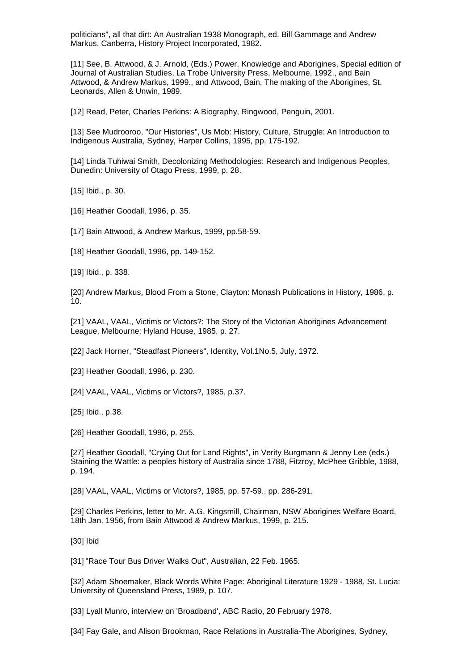politicians", all that dirt: An Australian 1938 Monograph, ed. Bill Gammage and Andrew Markus, Canberra, History Project Incorporated, 1982.

[11] See, B. Attwood, & J. Arnold, (Eds.) Power, Knowledge and Aborigines, Special edition of Journal of Australian Studies, La Trobe University Press, Melbourne, 1992., and Bain Attwood, & Andrew Markus, 1999., and Attwood, Bain, The making of the Aborigines, St. Leonards, Allen & Unwin, 1989.

[12] Read, Peter, Charles Perkins: A Biography, Ringwood, Penguin, 2001.

[13] See Mudrooroo, "Our Histories", Us Mob: History, Culture, Struggle: An Introduction to Indigenous Australia, Sydney, Harper Collins, 1995, pp. 175-192.

[14] Linda Tuhiwai Smith, Decolonizing Methodologies: Research and Indigenous Peoples, Dunedin: University of Otago Press, 1999, p. 28.

[15] Ibid., p. 30.

[16] Heather Goodall, 1996, p. 35.

[17] Bain Attwood, & Andrew Markus, 1999, pp.58-59.

[18] Heather Goodall, 1996, pp. 149-152.

[19] Ibid., p. 338.

[20] Andrew Markus, Blood From a Stone, Clayton: Monash Publications in History, 1986, p. 10.

[21] VAAL, VAAL, Victims or Victors?: The Story of the Victorian Aborigines Advancement League, Melbourne: Hyland House, 1985, p. 27.

[22] Jack Horner, "Steadfast Pioneers", Identity, Vol.1No.5, July, 1972.

[23] Heather Goodall, 1996, p. 230.

[24] VAAL, VAAL, Victims or Victors?, 1985, p.37.

[25] Ibid., p.38.

[26] Heather Goodall, 1996, p. 255.

[27] Heather Goodall, "Crying Out for Land Rights", in Verity Burgmann & Jenny Lee (eds.) Staining the Wattle: a peoples history of Australia since 1788, Fitzroy, McPhee Gribble, 1988, p. 194.

[28] VAAL, VAAL, Victims or Victors?, 1985, pp. 57-59., pp. 286-291.

[29] Charles Perkins, letter to Mr. A.G. Kingsmill, Chairman, NSW Aborigines Welfare Board, 18th Jan. 1956, from Bain Attwood & Andrew Markus, 1999, p. 215.

[30] Ibid

[31] "Race Tour Bus Driver Walks Out", Australian, 22 Feb. 1965.

[32] Adam Shoemaker, Black Words White Page: Aboriginal Literature 1929 - 1988, St. Lucia: University of Queensland Press, 1989, p. 107.

[33] Lyall Munro, interview on 'Broadband', ABC Radio, 20 February 1978.

[34] Fay Gale, and Alison Brookman, Race Relations in Australia-The Aborigines, Sydney,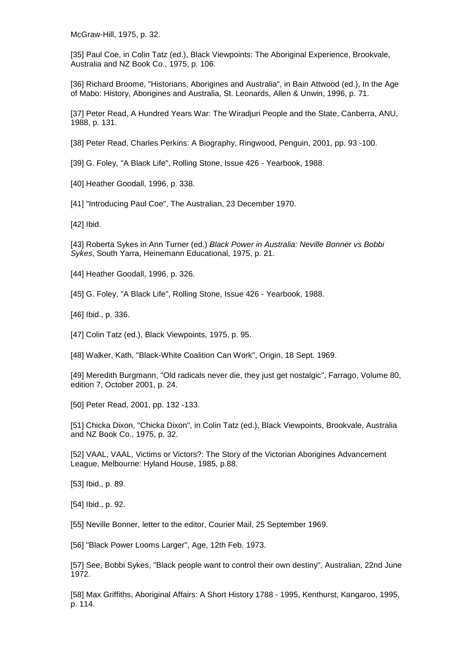McGraw-Hill, 1975, p. 32.

[35] Paul Coe, in Colin Tatz (ed.), Black Viewpoints: The Aboriginal Experience, Brookvale, Australia and NZ Book Co., 1975, p. 106.

[36] Richard Broome, "Historians, Aborigines and Australia", in Bain Attwood (ed.), In the Age of Mabo: History, Aborigines and Australia, St. Leonards, Allen & Unwin, 1996, p. 71.

[37] Peter Read, A Hundred Years War: The Wiradjuri People and the State, Canberra, ANU, 1988, p. 131.

[38] Peter Read, Charles Perkins: A Biography, Ringwood, Penguin, 2001, pp. 93 -100.

[39] G. Foley, "A Black Life", Rolling Stone, Issue 426 - Yearbook, 1988.

[40] Heather Goodall, 1996, p. 338.

[41] "Introducing Paul Coe", The Australian, 23 December 1970.

[42] Ibid.

[43] Roberta Sykes in Ann Turner (ed.) *Black Power in Australia: Neville Bonner vs Bobbi Sykes*, South Yarra, Heinemann Educational, 1975, p. 21.

[44] Heather Goodall, 1996, p. 326.

[45] G. Foley, "A Black Life", Rolling Stone, Issue 426 - Yearbook, 1988.

[46] Ibid., p. 336.

[47] Colin Tatz (ed.), Black Viewpoints, 1975, p. 95.

[48] Walker, Kath, "Black-White Coalition Can Work", Origin, 18 Sept. 1969.

[49] Meredith Burgmann, "Old radicals never die, they just get nostalgic", Farrago, Volume 80, edition 7, October 2001, p. 24.

[50] Peter Read, 2001, pp. 132 -133.

[51] Chicka Dixon, "Chicka Dixon", in Colin Tatz (ed.), Black Viewpoints, Brookvale, Australia and NZ Book Co., 1975, p. 32.

[52] VAAL, VAAL, Victims or Victors?: The Story of the Victorian Aborigines Advancement League, Melbourne: Hyland House, 1985, p.88.

[53] Ibid., p. 89.

[54] Ibid., p. 92.

[55] Neville Bonner, letter to the editor, Courier Mail, 25 September 1969.

[56] "Black Power Looms Larger", Age, 12th Feb. 1973.

[57] See, Bobbi Sykes, "Black people want to control their own destiny", Australian, 22nd June 1972.

[58] Max Griffiths, Aboriginal Affairs: A Short History 1788 - 1995, Kenthurst, Kangaroo, 1995, p. 114.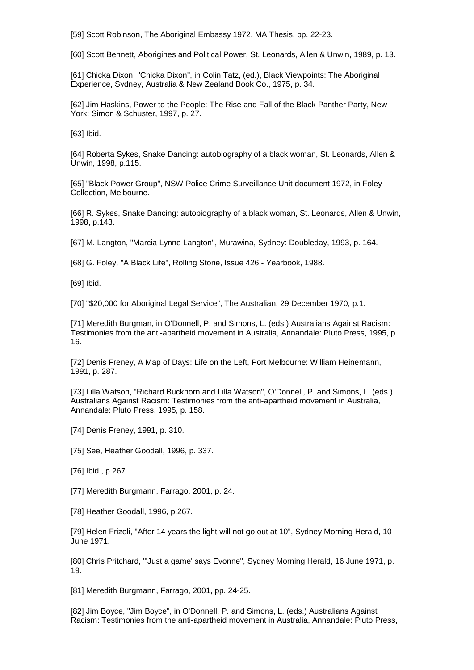[59] Scott Robinson, The Aboriginal Embassy 1972, MA Thesis, pp. 22-23.

[60] Scott Bennett, Aborigines and Political Power, St. Leonards, Allen & Unwin, 1989, p. 13.

[61] Chicka Dixon, "Chicka Dixon", in Colin Tatz, (ed.), Black Viewpoints: The Aboriginal Experience, Sydney, Australia & New Zealand Book Co., 1975, p. 34.

[62] Jim Haskins, Power to the People: The Rise and Fall of the Black Panther Party, New York: Simon & Schuster, 1997, p. 27.

[63] Ibid.

[64] Roberta Sykes, Snake Dancing: autobiography of a black woman, St. Leonards, Allen & Unwin, 1998, p.115.

[65] "Black Power Group", NSW Police Crime Surveillance Unit document 1972, in Foley Collection, Melbourne.

[66] R. Sykes, Snake Dancing: autobiography of a black woman, St. Leonards, Allen & Unwin, 1998, p.143.

[67] M. Langton, "Marcia Lynne Langton", Murawina, Sydney: Doubleday, 1993, p. 164.

[68] G. Foley, "A Black Life", Rolling Stone, Issue 426 - Yearbook, 1988.

[69] Ibid.

[70] "\$20,000 for Aboriginal Legal Service", The Australian, 29 December 1970, p.1.

[71] Meredith Burgman, in O'Donnell, P. and Simons, L. (eds.) Australians Against Racism: Testimonies from the anti-apartheid movement in Australia, Annandale: Pluto Press, 1995, p. 16.

[72] Denis Freney, A Map of Days: Life on the Left, Port Melbourne: William Heinemann, 1991, p. 287.

[73] Lilla Watson, "Richard Buckhorn and Lilla Watson", O'Donnell, P. and Simons, L. (eds.) Australians Against Racism: Testimonies from the anti-apartheid movement in Australia, Annandale: Pluto Press, 1995, p. 158.

[74] Denis Freney, 1991, p. 310.

[75] See, Heather Goodall, 1996, p. 337.

[76] Ibid., p.267.

[77] Meredith Burgmann, Farrago, 2001, p. 24.

[78] Heather Goodall, 1996, p.267.

[79] Helen Frizeli, "After 14 years the light will not go out at 10", Sydney Morning Herald, 10 June 1971.

[80] Chris Pritchard, "'Just a game' says Evonne", Sydney Morning Herald, 16 June 1971, p. 19.

[81] Meredith Burgmann, Farrago, 2001, pp. 24-25.

[82] Jim Boyce, "Jim Boyce", in O'Donnell, P. and Simons, L. (eds.) Australians Against Racism: Testimonies from the anti-apartheid movement in Australia, Annandale: Pluto Press,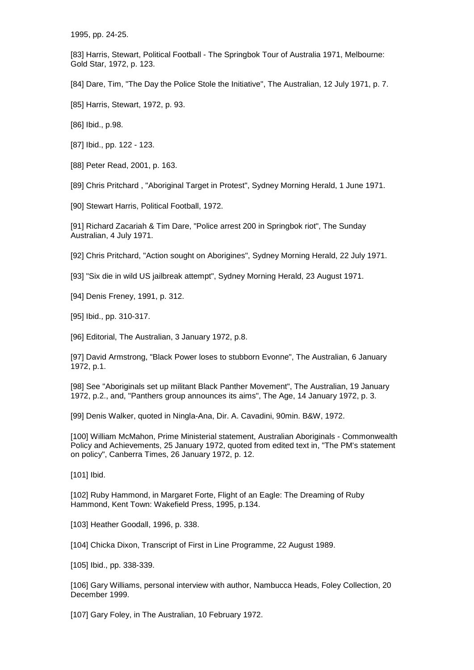1995, pp. 24-25.

[83] Harris, Stewart, Political Football - The Springbok Tour of Australia 1971, Melbourne: Gold Star, 1972, p. 123.

[84] Dare, Tim, "The Day the Police Stole the Initiative", The Australian, 12 July 1971, p. 7.

[85] Harris, Stewart, 1972, p. 93.

[86] Ibid., p.98.

[87] Ibid., pp. 122 - 123.

[88] Peter Read, 2001, p. 163.

[89] Chris Pritchard , "Aboriginal Target in Protest", Sydney Morning Herald, 1 June 1971.

[90] Stewart Harris, Political Football, 1972.

[91] Richard Zacariah & Tim Dare, "Police arrest 200 in Springbok riot", The Sunday Australian, 4 July 1971.

[92] Chris Pritchard, "Action sought on Aborigines", Sydney Morning Herald, 22 July 1971.

[93] "Six die in wild US jailbreak attempt", Sydney Morning Herald, 23 August 1971.

[94] Denis Freney, 1991, p. 312.

[95] Ibid., pp. 310-317.

[96] Editorial, The Australian, 3 January 1972, p.8.

[97] David Armstrong, "Black Power loses to stubborn Evonne", The Australian, 6 January 1972, p.1.

[98] See "Aboriginals set up militant Black Panther Movement", The Australian, 19 January 1972, p.2., and, "Panthers group announces its aims", The Age, 14 January 1972, p. 3.

[99] Denis Walker, quoted in Ningla-Ana, Dir. A. Cavadini, 90min. B&W, 1972.

[100] William McMahon, Prime Ministerial statement, Australian Aboriginals - Commonwealth Policy and Achievements, 25 January 1972, quoted from edited text in, "The PM's statement on policy", Canberra Times, 26 January 1972, p. 12.

[101] Ibid.

[102] Ruby Hammond, in Margaret Forte, Flight of an Eagle: The Dreaming of Ruby Hammond, Kent Town: Wakefield Press, 1995, p.134.

[103] Heather Goodall, 1996, p. 338.

[104] Chicka Dixon, Transcript of First in Line Programme, 22 August 1989.

[105] Ibid., pp. 338-339.

[106] Gary Williams, personal interview with author, Nambucca Heads, Foley Collection, 20 December 1999.

[107] Gary Foley, in The Australian, 10 February 1972.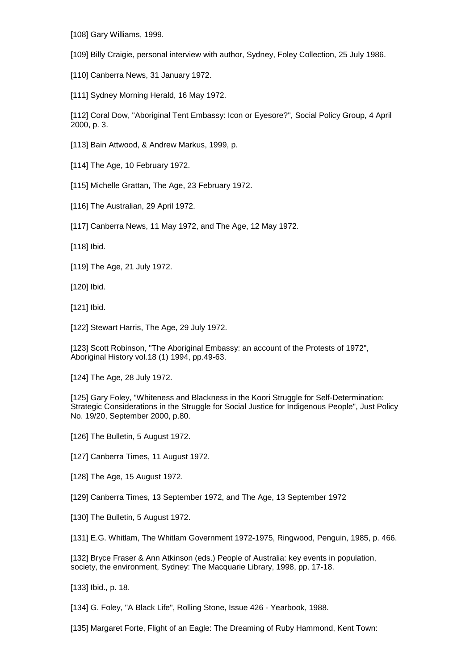[108] Gary Williams, 1999.

[109] Billy Craigie, personal interview with author, Sydney, Foley Collection, 25 July 1986.

[110] Canberra News, 31 January 1972.

[111] Sydney Morning Herald, 16 May 1972.

[112] Coral Dow, "Aboriginal Tent Embassy: Icon or Eyesore?", Social Policy Group, 4 April 2000, p. 3.

- [113] Bain Attwood, & Andrew Markus, 1999, p.
- [114] The Age, 10 February 1972.
- [115] Michelle Grattan, The Age, 23 February 1972.
- [116] The Australian, 29 April 1972.
- [117] Canberra News, 11 May 1972, and The Age, 12 May 1972.
- [118] Ibid.
- [119] The Age, 21 July 1972.
- [120] Ibid.
- [121] Ibid.
- [122] Stewart Harris, The Age, 29 July 1972.

[123] Scott Robinson, "The Aboriginal Embassy: an account of the Protests of 1972", Aboriginal History vol.18 (1) 1994, pp.49-63.

[124] The Age, 28 July 1972.

[125] Gary Foley, "Whiteness and Blackness in the Koori Struggle for Self-Determination: Strategic Considerations in the Struggle for Social Justice for Indigenous People", Just Policy No. 19/20, September 2000, p.80.

- [126] The Bulletin, 5 August 1972.
- [127] Canberra Times, 11 August 1972.
- [128] The Age, 15 August 1972.
- [129] Canberra Times, 13 September 1972, and The Age, 13 September 1972
- [130] The Bulletin, 5 August 1972.
- [131] E.G. Whitlam, The Whitlam Government 1972-1975, Ringwood, Penguin, 1985, p. 466.

[132] Bryce Fraser & Ann Atkinson (eds.) People of Australia: key events in population, society, the environment, Sydney: The Macquarie Library, 1998, pp. 17-18.

[133] Ibid., p. 18.

[134] G. Foley, "A Black Life", Rolling Stone, Issue 426 - Yearbook, 1988.

[135] Margaret Forte, Flight of an Eagle: The Dreaming of Ruby Hammond, Kent Town: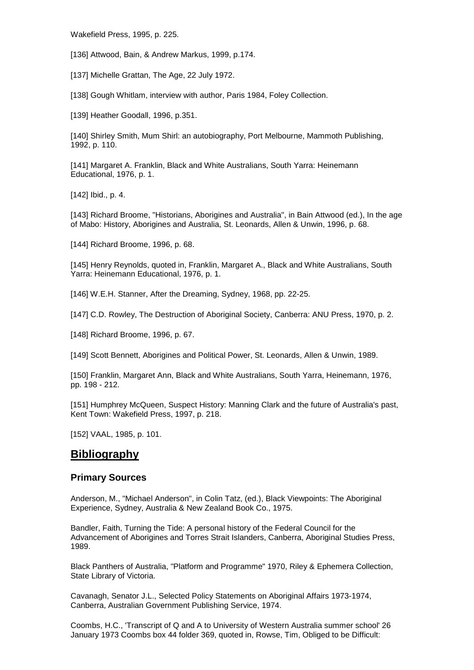Wakefield Press, 1995, p. 225.

[136] Attwood, Bain, & Andrew Markus, 1999, p.174.

[137] Michelle Grattan, The Age, 22 July 1972.

[138] Gough Whitlam, interview with author, Paris 1984, Foley Collection.

[139] Heather Goodall, 1996, p.351.

[140] Shirley Smith, Mum Shirl: an autobiography, Port Melbourne, Mammoth Publishing, 1992, p. 110.

[141] Margaret A. Franklin, Black and White Australians, South Yarra: Heinemann Educational, 1976, p. 1.

[142] Ibid., p. 4.

[143] Richard Broome, "Historians, Aborigines and Australia", in Bain Attwood (ed.), In the age of Mabo: History, Aborigines and Australia, St. Leonards, Allen & Unwin, 1996, p. 68.

[144] Richard Broome, 1996, p. 68.

[145] Henry Reynolds, quoted in, Franklin, Margaret A., Black and White Australians, South Yarra: Heinemann Educational, 1976, p. 1.

[146] W.E.H. Stanner, After the Dreaming, Sydney, 1968, pp. 22-25.

[147] C.D. Rowley, The Destruction of Aboriginal Society, Canberra: ANU Press, 1970, p. 2.

[148] Richard Broome, 1996, p. 67.

[149] Scott Bennett, Aborigines and Political Power, St. Leonards, Allen & Unwin, 1989.

[150] Franklin, Margaret Ann, Black and White Australians, South Yarra, Heinemann, 1976, pp. 198 - 212.

[151] Humphrey McQueen, Suspect History: Manning Clark and the future of Australia's past, Kent Town: Wakefield Press, 1997, p. 218.

[152] VAAL, 1985, p. 101.

# **Bibliography**

# **Primary Sources**

Anderson, M., "Michael Anderson", in Colin Tatz, (ed.), Black Viewpoints: The Aboriginal Experience, Sydney, Australia & New Zealand Book Co., 1975.

Bandler, Faith, Turning the Tide: A personal history of the Federal Council for the Advancement of Aborigines and Torres Strait Islanders, Canberra, Aboriginal Studies Press, 1989.

Black Panthers of Australia, "Platform and Programme" 1970, Riley & Ephemera Collection, State Library of Victoria.

Cavanagh, Senator J.L., Selected Policy Statements on Aboriginal Affairs 1973-1974, Canberra, Australian Government Publishing Service, 1974.

Coombs, H.C., 'Transcript of Q and A to University of Western Australia summer school' 26 January 1973 Coombs box 44 folder 369, quoted in, Rowse, Tim, Obliged to be Difficult: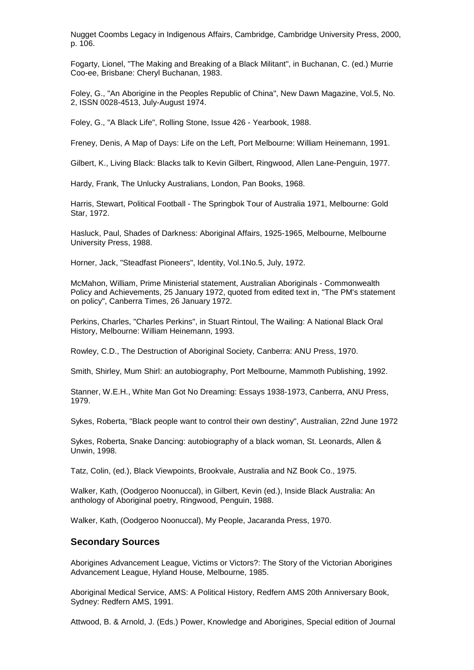Nugget Coombs Legacy in Indigenous Affairs, Cambridge, Cambridge University Press, 2000, p. 106.

Fogarty, Lionel, "The Making and Breaking of a Black Militant", in Buchanan, C. (ed.) Murrie Coo-ee, Brisbane: Cheryl Buchanan, 1983.

Foley, G., "An Aborigine in the Peoples Republic of China", New Dawn Magazine, Vol.5, No. 2, ISSN 0028-4513, July-August 1974.

Foley, G., "A Black Life", Rolling Stone, Issue 426 - Yearbook, 1988.

Freney, Denis, A Map of Days: Life on the Left, Port Melbourne: William Heinemann, 1991.

Gilbert, K., Living Black: Blacks talk to Kevin Gilbert, Ringwood, Allen Lane-Penguin, 1977.

Hardy, Frank, The Unlucky Australians, London, Pan Books, 1968.

Harris, Stewart, Political Football - The Springbok Tour of Australia 1971, Melbourne: Gold Star, 1972.

Hasluck, Paul, Shades of Darkness: Aboriginal Affairs, 1925-1965, Melbourne, Melbourne University Press, 1988.

Horner, Jack, "Steadfast Pioneers", Identity, Vol.1No.5, July, 1972.

McMahon, William, Prime Ministerial statement, Australian Aboriginals - Commonwealth Policy and Achievements, 25 January 1972, quoted from edited text in, "The PM's statement on policy", Canberra Times, 26 January 1972.

Perkins, Charles, "Charles Perkins", in Stuart Rintoul, The Wailing: A National Black Oral History, Melbourne: William Heinemann, 1993.

Rowley, C.D., The Destruction of Aboriginal Society, Canberra: ANU Press, 1970.

Smith, Shirley, Mum Shirl: an autobiography, Port Melbourne, Mammoth Publishing, 1992.

Stanner, W.E.H., White Man Got No Dreaming: Essays 1938-1973, Canberra, ANU Press, 1979.

Sykes, Roberta, "Black people want to control their own destiny", Australian, 22nd June 1972

Sykes, Roberta, Snake Dancing: autobiography of a black woman, St. Leonards, Allen & Unwin, 1998.

Tatz, Colin, (ed.), Black Viewpoints, Brookvale, Australia and NZ Book Co., 1975.

Walker, Kath, (Oodgeroo Noonuccal), in Gilbert, Kevin (ed.), Inside Black Australia: An anthology of Aboriginal poetry, Ringwood, Penguin, 1988.

Walker, Kath, (Oodgeroo Noonuccal), My People, Jacaranda Press, 1970.

# **Secondary Sources**

Aborigines Advancement League, Victims or Victors?: The Story of the Victorian Aborigines Advancement League, Hyland House, Melbourne, 1985.

Aboriginal Medical Service, AMS: A Political History, Redfern AMS 20th Anniversary Book, Sydney: Redfern AMS, 1991.

Attwood, B. & Arnold, J. (Eds.) Power, Knowledge and Aborigines, Special edition of Journal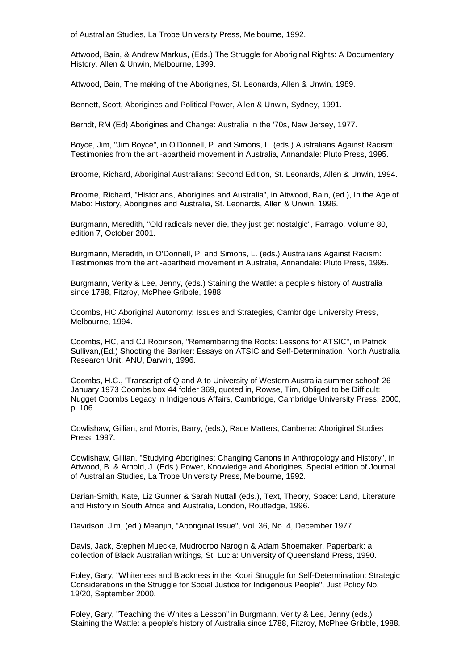of Australian Studies, La Trobe University Press, Melbourne, 1992.

Attwood, Bain, & Andrew Markus, (Eds.) The Struggle for Aboriginal Rights: A Documentary History, Allen & Unwin, Melbourne, 1999.

Attwood, Bain, The making of the Aborigines, St. Leonards, Allen & Unwin, 1989.

Bennett, Scott, Aborigines and Political Power, Allen & Unwin, Sydney, 1991.

Berndt, RM (Ed) Aborigines and Change: Australia in the '70s, New Jersey, 1977.

Boyce, Jim, "Jim Boyce", in O'Donnell, P. and Simons, L. (eds.) Australians Against Racism: Testimonies from the anti-apartheid movement in Australia, Annandale: Pluto Press, 1995.

Broome, Richard, Aboriginal Australians: Second Edition, St. Leonards, Allen & Unwin, 1994.

Broome, Richard, "Historians, Aborigines and Australia", in Attwood, Bain, (ed.), In the Age of Mabo: History, Aborigines and Australia, St. Leonards, Allen & Unwin, 1996.

Burgmann, Meredith, "Old radicals never die, they just get nostalgic", Farrago, Volume 80, edition 7, October 2001.

Burgmann, Meredith, in O'Donnell, P. and Simons, L. (eds.) Australians Against Racism: Testimonies from the anti-apartheid movement in Australia, Annandale: Pluto Press, 1995.

Burgmann, Verity & Lee, Jenny, (eds.) Staining the Wattle: a people's history of Australia since 1788, Fitzroy, McPhee Gribble, 1988.

Coombs, HC Aboriginal Autonomy: Issues and Strategies, Cambridge University Press, Melbourne, 1994.

Coombs, HC, and CJ Robinson, "Remembering the Roots: Lessons for ATSIC", in Patrick Sullivan,(Ed.) Shooting the Banker: Essays on ATSIC and Self-Determination, North Australia Research Unit, ANU, Darwin, 1996.

Coombs, H.C., 'Transcript of Q and A to University of Western Australia summer school' 26 January 1973 Coombs box 44 folder 369, quoted in, Rowse, Tim, Obliged to be Difficult: Nugget Coombs Legacy in Indigenous Affairs, Cambridge, Cambridge University Press, 2000, p. 106.

Cowlishaw, Gillian, and Morris, Barry, (eds.), Race Matters, Canberra: Aboriginal Studies Press, 1997.

Cowlishaw, Gillian, "Studying Aborigines: Changing Canons in Anthropology and History", in Attwood, B. & Arnold, J. (Eds.) Power, Knowledge and Aborigines, Special edition of Journal of Australian Studies, La Trobe University Press, Melbourne, 1992.

Darian-Smith, Kate, Liz Gunner & Sarah Nuttall (eds.), Text, Theory, Space: Land, Literature and History in South Africa and Australia, London, Routledge, 1996.

Davidson, Jim, (ed.) Meanjin, "Aboriginal Issue", Vol. 36, No. 4, December 1977.

Davis, Jack, Stephen Muecke, Mudrooroo Narogin & Adam Shoemaker, Paperbark: a collection of Black Australian writings, St. Lucia: University of Queensland Press, 1990.

Foley, Gary, "Whiteness and Blackness in the Koori Struggle for Self-Determination: Strategic Considerations in the Struggle for Social Justice for Indigenous People", Just Policy No. 19/20, September 2000.

Foley, Gary, "Teaching the Whites a Lesson" in Burgmann, Verity & Lee, Jenny (eds.) Staining the Wattle: a people's history of Australia since 1788, Fitzroy, McPhee Gribble, 1988.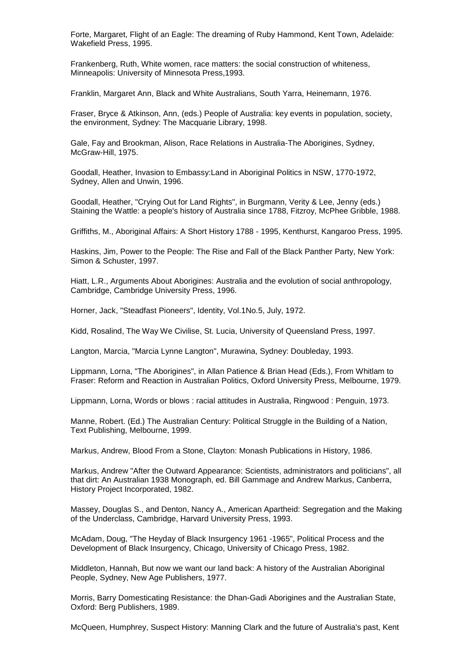Forte, Margaret, Flight of an Eagle: The dreaming of Ruby Hammond, Kent Town, Adelaide: Wakefield Press, 1995.

Frankenberg, Ruth, White women, race matters: the social construction of whiteness, Minneapolis: University of Minnesota Press,1993.

Franklin, Margaret Ann, Black and White Australians, South Yarra, Heinemann, 1976.

Fraser, Bryce & Atkinson, Ann, (eds.) People of Australia: key events in population, society, the environment, Sydney: The Macquarie Library, 1998.

Gale, Fay and Brookman, Alison, Race Relations in Australia-The Aborigines, Sydney, McGraw-Hill, 1975.

Goodall, Heather, Invasion to Embassy:Land in Aboriginal Politics in NSW, 1770-1972, Sydney, Allen and Unwin, 1996.

Goodall, Heather, "Crying Out for Land Rights", in Burgmann, Verity & Lee, Jenny (eds.) Staining the Wattle: a people's history of Australia since 1788, Fitzroy, McPhee Gribble, 1988.

Griffiths, M., Aboriginal Affairs: A Short History 1788 - 1995, Kenthurst, Kangaroo Press, 1995.

Haskins, Jim, Power to the People: The Rise and Fall of the Black Panther Party, New York: Simon & Schuster, 1997.

Hiatt, L.R., Arguments About Aborigines: Australia and the evolution of social anthropology, Cambridge, Cambridge University Press, 1996.

Horner, Jack, "Steadfast Pioneers", Identity, Vol.1No.5, July, 1972.

Kidd, Rosalind, The Way We Civilise, St. Lucia, University of Queensland Press, 1997.

Langton, Marcia, "Marcia Lynne Langton", Murawina, Sydney: Doubleday, 1993.

Lippmann, Lorna, "The Aborigines", in Allan Patience & Brian Head (Eds.), From Whitlam to Fraser: Reform and Reaction in Australian Politics, Oxford University Press, Melbourne, 1979.

Lippmann, Lorna, Words or blows : racial attitudes in Australia, Ringwood : Penguin, 1973.

Manne, Robert. (Ed.) The Australian Century: Political Struggle in the Building of a Nation, Text Publishing, Melbourne, 1999.

Markus, Andrew, Blood From a Stone, Clayton: Monash Publications in History, 1986.

Markus, Andrew "After the Outward Appearance: Scientists, administrators and politicians", all that dirt: An Australian 1938 Monograph, ed. Bill Gammage and Andrew Markus, Canberra, History Project Incorporated, 1982.

Massey, Douglas S., and Denton, Nancy A., American Apartheid: Segregation and the Making of the Underclass, Cambridge, Harvard University Press, 1993.

McAdam, Doug, "The Heyday of Black Insurgency 1961 -1965", Political Process and the Development of Black Insurgency, Chicago, University of Chicago Press, 1982.

Middleton, Hannah, But now we want our land back: A history of the Australian Aboriginal People, Sydney, New Age Publishers, 1977.

Morris, Barry Domesticating Resistance: the Dhan-Gadi Aborigines and the Australian State, Oxford: Berg Publishers, 1989.

McQueen, Humphrey, Suspect History: Manning Clark and the future of Australia's past, Kent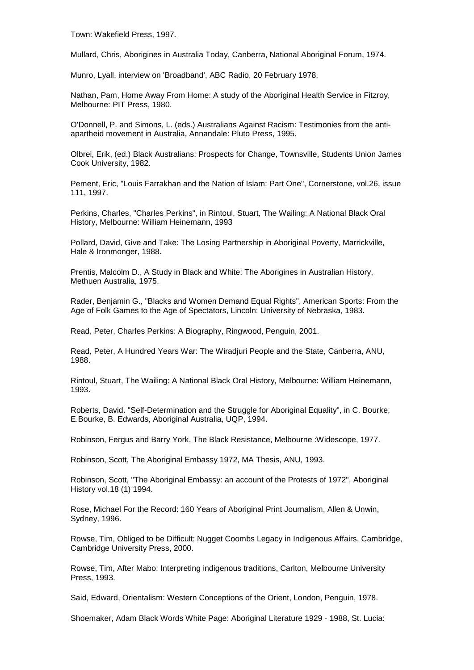Town: Wakefield Press, 1997.

Mullard, Chris, Aborigines in Australia Today, Canberra, National Aboriginal Forum, 1974.

Munro, Lyall, interview on 'Broadband', ABC Radio, 20 February 1978.

Nathan, Pam, Home Away From Home: A study of the Aboriginal Health Service in Fitzroy, Melbourne: PIT Press, 1980.

O'Donnell, P. and Simons, L. (eds.) Australians Against Racism: Testimonies from the antiapartheid movement in Australia, Annandale: Pluto Press, 1995.

Olbrei, Erik, (ed.) Black Australians: Prospects for Change, Townsville, Students Union James Cook University, 1982.

Pement, Eric, "Louis Farrakhan and the Nation of Islam: Part One", Cornerstone, vol.26, issue 111, 1997.

Perkins, Charles, "Charles Perkins", in Rintoul, Stuart, The Wailing: A National Black Oral History, Melbourne: William Heinemann, 1993

Pollard, David, Give and Take: The Losing Partnership in Aboriginal Poverty, Marrickville, Hale & Ironmonger, 1988.

Prentis, Malcolm D., A Study in Black and White: The Aborigines in Australian History, Methuen Australia, 1975.

Rader, Benjamin G., "Blacks and Women Demand Equal Rights", American Sports: From the Age of Folk Games to the Age of Spectators, Lincoln: University of Nebraska, 1983.

Read, Peter, Charles Perkins: A Biography, Ringwood, Penguin, 2001.

Read, Peter, A Hundred Years War: The Wiradjuri People and the State, Canberra, ANU, 1988.

Rintoul, Stuart, The Wailing: A National Black Oral History, Melbourne: William Heinemann, 1993.

Roberts, David. "Self-Determination and the Struggle for Aboriginal Equality", in C. Bourke, E.Bourke, B. Edwards, Aboriginal Australia, UQP, 1994.

Robinson, Fergus and Barry York, The Black Resistance, Melbourne :Widescope, 1977.

Robinson, Scott, The Aboriginal Embassy 1972, MA Thesis, ANU, 1993.

Robinson, Scott, "The Aboriginal Embassy: an account of the Protests of 1972", Aboriginal History vol.18 (1) 1994.

Rose, Michael For the Record: 160 Years of Aboriginal Print Journalism, Allen & Unwin, Sydney, 1996.

Rowse, Tim, Obliged to be Difficult: Nugget Coombs Legacy in Indigenous Affairs, Cambridge, Cambridge University Press, 2000.

Rowse, Tim, After Mabo: Interpreting indigenous traditions, Carlton, Melbourne University Press, 1993.

Said, Edward, Orientalism: Western Conceptions of the Orient, London, Penguin, 1978.

Shoemaker, Adam Black Words White Page: Aboriginal Literature 1929 - 1988, St. Lucia: